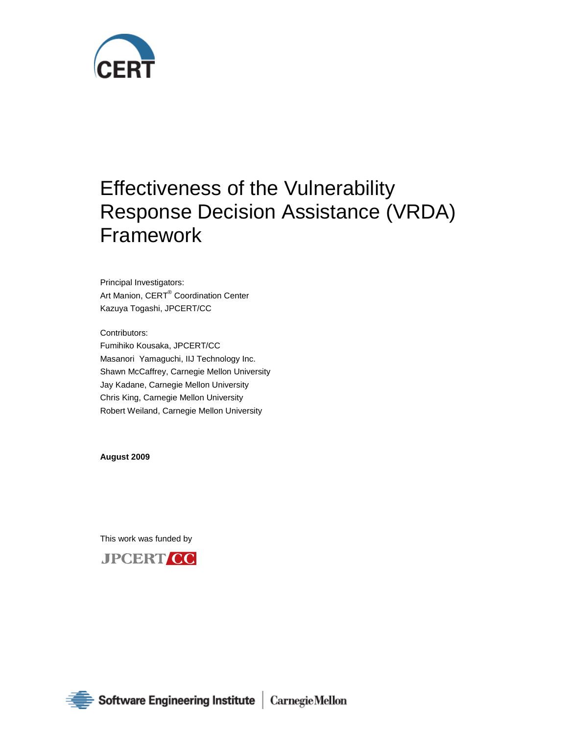

# Effectiveness of the Vulnerability Response Decision Assistance (VRDA) Framework

Principal Investigators: Art Manion, CERT® Coordination Center Kazuya Togashi, JPCERT/CC

Contributors: Fumihiko Kousaka, JPCERT/CC Masanori Yamaguchi, IIJ Technology Inc. Shawn McCaffrey, Carnegie Mellon University Jay Kadane, Carnegie Mellon University Chris King, Carnegie Mellon University Robert Weiland, Carnegie Mellon University

**August 2009**

This work was funded by



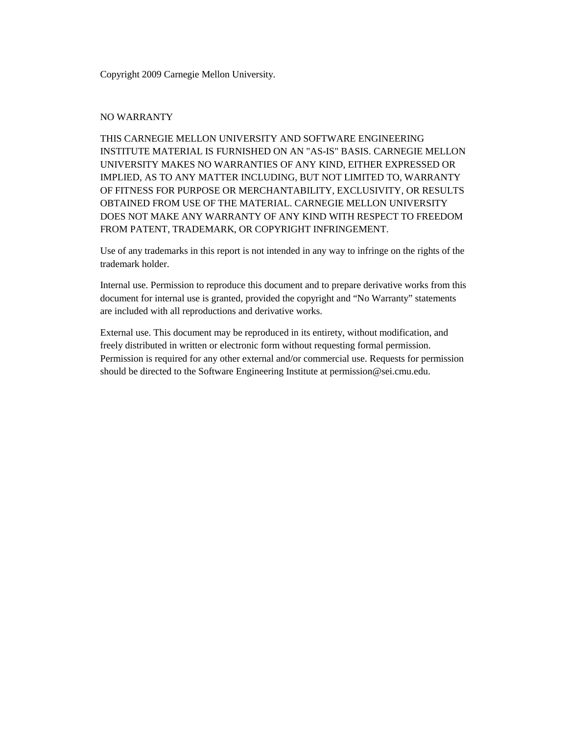Copyright 2009 Carnegie Mellon University.

### NO WARRANTY

THIS CARNEGIE MELLON UNIVERSITY AND SOFTWARE ENGINEERING INSTITUTE MATERIAL IS FURNISHED ON AN "AS-IS" BASIS. CARNEGIE MELLON UNIVERSITY MAKES NO WARRANTIES OF ANY KIND, EITHER EXPRESSED OR IMPLIED, AS TO ANY MATTER INCLUDING, BUT NOT LIMITED TO, WARRANTY OF FITNESS FOR PURPOSE OR MERCHANTABILITY, EXCLUSIVITY, OR RESULTS OBTAINED FROM USE OF THE MATERIAL. CARNEGIE MELLON UNIVERSITY DOES NOT MAKE ANY WARRANTY OF ANY KIND WITH RESPECT TO FREEDOM FROM PATENT, TRADEMARK, OR COPYRIGHT INFRINGEMENT.

Use of any trademarks in this report is not intended in any way to infringe on the rights of the trademark holder.

Internal use. Permission to reproduce this document and to prepare derivative works from this document for internal use is granted, provided the copyright and "No Warranty" statements are included with all reproductions and derivative works.

External use. This document may be reproduced in its entirety, without modification, and freely distributed in written or electronic form without requesting formal permission. Permission is required for any other external and/or commercial use. Requests for permission should be directed to the Software Engineering Institute at permission@sei.cmu.edu.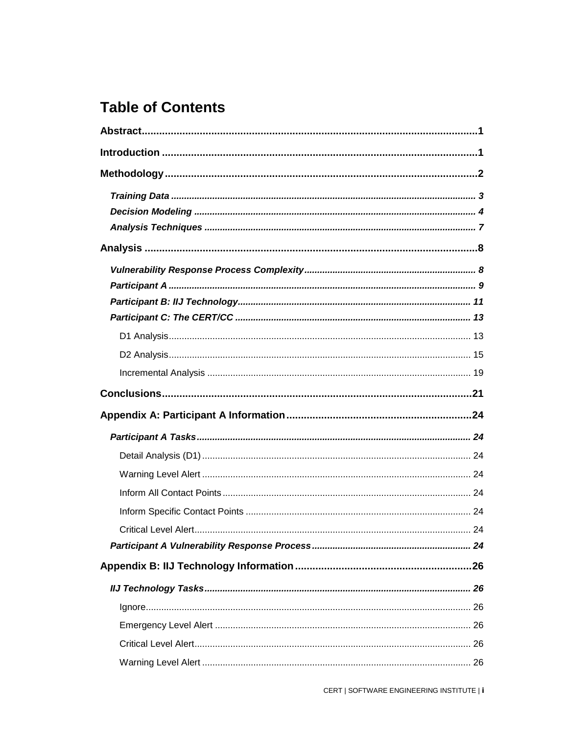## **Table of Contents**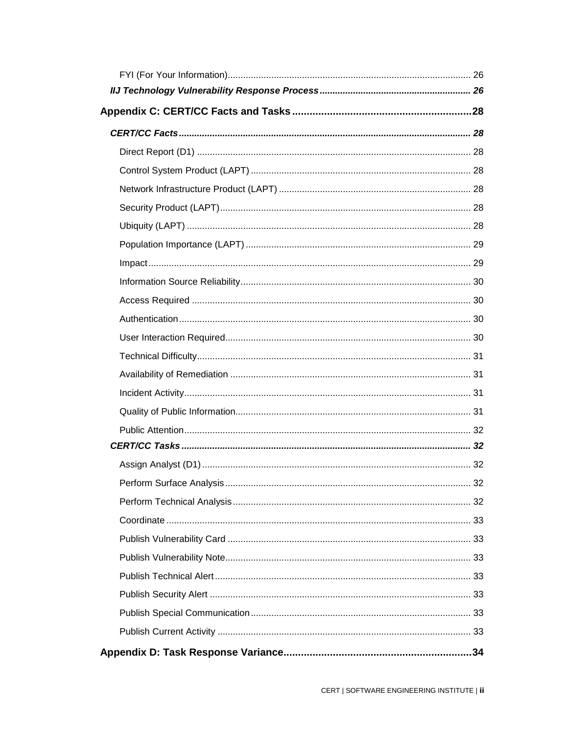| Perform Surface Analysis | 32 |
|--------------------------|----|
|                          |    |
|                          |    |
|                          |    |
|                          |    |
|                          |    |
|                          |    |
|                          |    |
|                          |    |
|                          |    |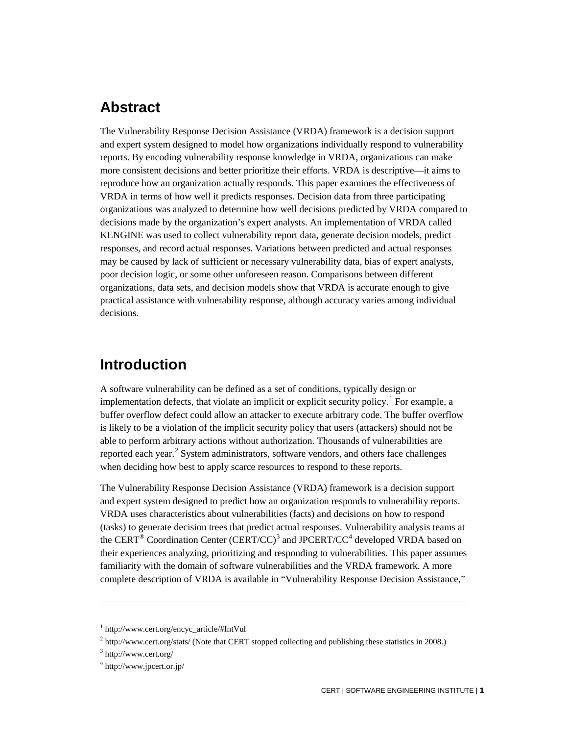## **Abstract**

The Vulnerability Response Decision Assistance (VRDA) framework is a decision support and expert system designed to model how organizations individually respond to vulnerability reports. By encoding vulnerability response knowledge in VRDA, organizations can make more consistent decisions and better prioritize their efforts. VRDA is descriptive—it aims to reproduce how an organization actually responds. This paper examines the effectiveness of VRDA in terms of how well it predicts responses. Decision data from three participating organizations was analyzed to determine how well decisions predicted by VRDA compared to decisions made by the organization's expert analysts. An implementation of VRDA called KENGINE was used to collect vulnerability report data, generate decision models, predict responses, and record actual responses. Variations between predicted and actual responses may be caused by lack of sufficient or necessary vulnerability data, bias of expert analysts, poor decision logic, or some other unforeseen reason. Comparisons between different organizations, data sets, and decision models show that VRDA is accurate enough to give practical assistance with vulnerability response, although accuracy varies among individual decisions.

## <span id="page-5-0"></span>**Introduction**

A software vulnerability can be defined as a set of conditions, typically design or implementation defects, that violate an implicit or explicit security policy.<sup>[1](#page-5-1)</sup> For example, a buffer overflow defect could allow an attacker to execute arbitrary code. The buffer overflow is likely to be a violation of the implicit security policy that users (attackers) should not be able to perform arbitrary actions without authorization. Thousands of vulnerabilities are reported each year.<sup>[2](#page-5-2)</sup> System administrators, software vendors, and others face challenges when deciding how best to apply scarce resources to respond to these reports.

The Vulnerability Response Decision Assistance (VRDA) framework is a decision support and expert system designed to predict how an organization responds to vulnerability reports. VRDA uses characteristics about vulnerabilities (facts) and decisions on how to respond (tasks) to generate decision trees that predict actual responses. Vulnerability analysis teams at the CERT<sup>®</sup> Coordination Center (CERT/CC)<sup>[3](#page-5-3)</sup> and JPCERT/CC<sup>[4](#page-5-4)</sup> developed VRDA based on their experiences analyzing, prioritizing and responding to vulnerabilities. This paper assumes familiarity with the domain of software vulnerabilities and the VRDA framework. A more complete description of VRDA is available in "Vulnerability Response Decision Assistance,"

<span id="page-5-1"></span><sup>1</sup> http://www.cert.org/encyc\_article/#IntVul

<span id="page-5-2"></span> $2$  http://www.cert.org/stats/ (Note that CERT stopped collecting and publishing these statistics in 2008.)

<span id="page-5-3"></span><sup>3</sup> http://www.cert.org/

<span id="page-5-4"></span><sup>4</sup> http://www.jpcert.or.jp/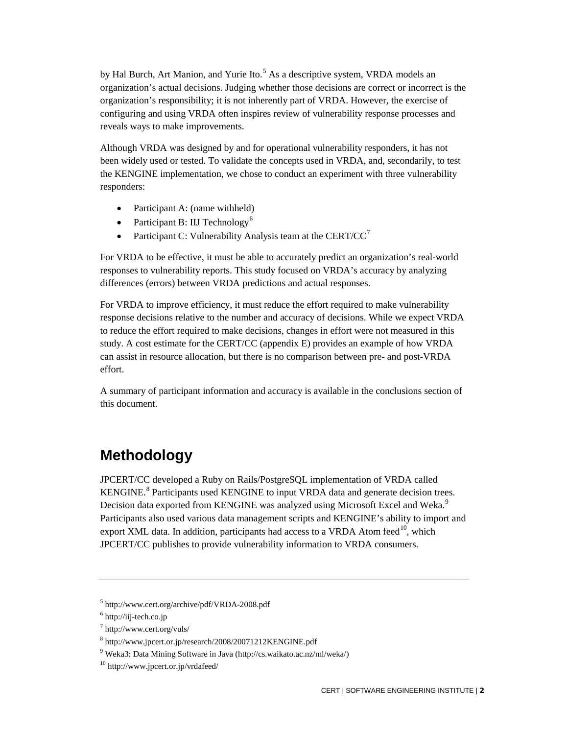by Hal Burch, Art Manion, and Yurie Ito.<sup>[5](#page-6-1)</sup> As a descriptive system, VRDA models an organization's actual decisions. Judging whether those decisions are correct or incorrect is the organization's responsibility; it is not inherently part of VRDA. However, the exercise of configuring and using VRDA often inspires review of vulnerability response processes and reveals ways to make improvements.

Although VRDA was designed by and for operational vulnerability responders, it has not been widely used or tested. To validate the concepts used in VRDA, and, secondarily, to test the KENGINE implementation, we chose to conduct an experiment with three vulnerability responders:

- Participant A: (name withheld)
- Participant B: IIJ Technology<sup>[6](#page-6-2)</sup>
- Participant C: Vulnerability Analysis team at the CERT/CC<sup>[7](#page-6-3)</sup>

For VRDA to be effective, it must be able to accurately predict an organization's real-world responses to vulnerability reports. This study focused on VRDA's accuracy by analyzing differences (errors) between VRDA predictions and actual responses.

For VRDA to improve efficiency, it must reduce the effort required to make vulnerability response decisions relative to the number and accuracy of decisions. While we expect VRDA to reduce the effort required to make decisions, changes in effort were not measured in this study. A cost estimate for the CERT/CC (appendix E) provides an example of how VRDA can assist in resource allocation, but there is no comparison between pre- and post-VRDA effort.

A summary of participant information and accuracy is available in the conclusions section of this document.

## <span id="page-6-0"></span>**Methodology**

JPCERT/CC developed a Ruby on Rails/PostgreSQL implementation of VRDA called KENGINE.<sup>[8](#page-6-4)</sup> Participants used KENGINE to input VRDA data and generate decision trees. Decision data exported from KENGINE was analyzed using Microsoft Excel and Weka.<sup>[9](#page-6-5)</sup> Participants also used various data management scripts and KENGINE's ability to import and export XML data. In addition, participants had access to a VRDA Atom feed  $^{10}$  $^{10}$  $^{10}$ , which JPCERT/CC publishes to provide vulnerability information to VRDA consumers.

<span id="page-6-1"></span><sup>5</sup> http://www.cert.org/archive/pdf/VRDA-2008.pdf

<span id="page-6-2"></span> $6$  http://iij-tech.co.jp

<span id="page-6-3"></span><sup>7</sup> http://www.cert.org/vuls/

<span id="page-6-4"></span><sup>8</sup> http://www.jpcert.or.jp/research/2008/20071212KENGINE.pdf

<span id="page-6-5"></span><sup>9</sup> Weka3: Data Mining Software in Java (http://cs.waikato.ac.nz/ml/weka/)

<span id="page-6-6"></span><sup>10</sup> http://www.jpcert.or.jp/vrdafeed/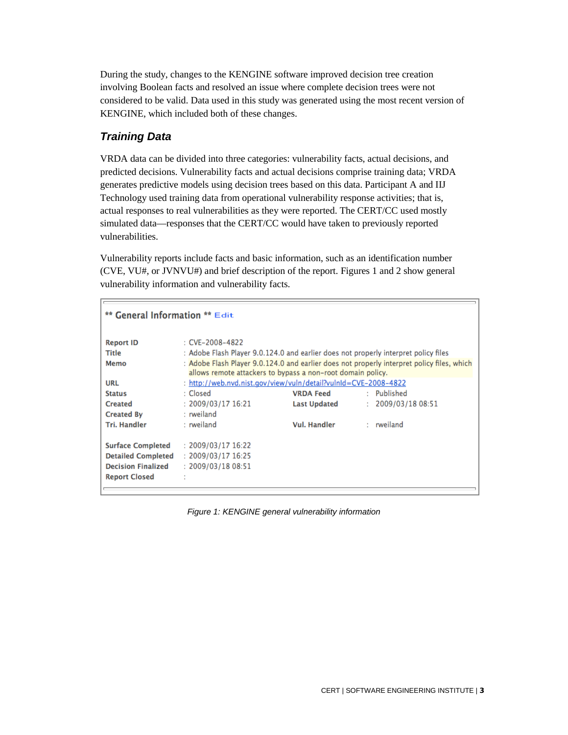During the study, changes to the KENGINE software improved decision tree creation involving Boolean facts and resolved an issue where complete decision trees were not considered to be valid. Data used in this study was generated using the most recent version of KENGINE, which included both of these changes.

## <span id="page-7-0"></span>*Training Data*

VRDA data can be divided into three categories: vulnerability facts, actual decisions, and predicted decisions. Vulnerability facts and actual decisions comprise training data; VRDA generates predictive models using decision trees based on this data. Participant A and IIJ Technology used training data from operational vulnerability response activities; that is, actual responses to real vulnerabilities as they were reported. The CERT/CC used mostly simulated data—responses that the CERT/CC would have taken to previously reported vulnerabilities.

Vulnerability reports include facts and basic information, such as an identification number (CVE, VU#, or JVNVU#) and brief description of the report. Figures 1 and 2 show general vulnerability information and vulnerability facts.

| ** General Information ** Edit |                                                                                            |                                                             |                 |                  |
|--------------------------------|--------------------------------------------------------------------------------------------|-------------------------------------------------------------|-----------------|------------------|
| <b>Report ID</b>               | $CVE-2008-4822$                                                                            |                                                             |                 |                  |
| Title                          | : Adobe Flash Player 9.0.124.0 and earlier does not properly interpret policy files        |                                                             |                 |                  |
| Memo                           | : Adobe Flash Player 9.0.124.0 and earlier does not properly interpret policy files, which | allows remote attackers to bypass a non-root domain policy. |                 |                  |
| URL                            | : http://web.nvd.nist.gov/view/vuln/detail?vulnId=CVE-2008-4822                            |                                                             |                 |                  |
| <b>Status</b>                  | : Closed                                                                                   | <b>VRDA Feed</b>                                            | Published<br>t. |                  |
| <b>Created</b>                 | : 2009/03/1716:21                                                                          | <b>Last Updated</b>                                         | t.              | 2009/03/18 08:51 |
| <b>Created By</b>              | : rweiland                                                                                 |                                                             |                 |                  |
| <b>Tri. Handler</b>            | : rweiland                                                                                 | <b>Vul. Handler</b>                                         | : rweiland      |                  |
| <b>Surface Completed</b>       | : 2009/03/1716:22                                                                          |                                                             |                 |                  |
| <b>Detailed Completed</b>      | : 2009/03/1716:25                                                                          |                                                             |                 |                  |
| <b>Decision Finalized</b>      | : 2009/03/1808:51                                                                          |                                                             |                 |                  |
| <b>Report Closed</b>           |                                                                                            |                                                             |                 |                  |

*Figure 1: KENGINE general vulnerability information*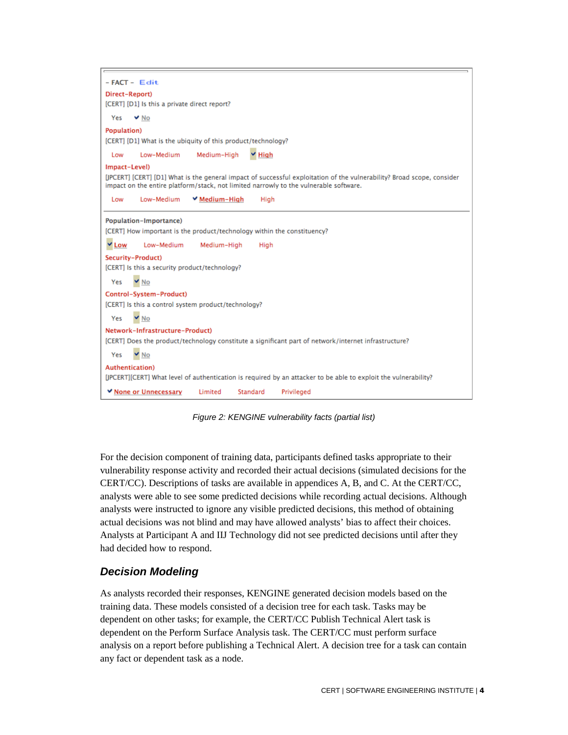

*Figure 2: KENGINE vulnerability facts (partial list)*

For the decision component of training data, participants defined tasks appropriate to their vulnerability response activity and recorded their actual decisions (simulated decisions for the CERT/CC). Descriptions of tasks are available in appendices A, B, and C. At the CERT/CC, analysts were able to see some predicted decisions while recording actual decisions. Although analysts were instructed to ignore any visible predicted decisions, this method of obtaining actual decisions was not blind and may have allowed analysts' bias to affect their choices. Analysts at Participant A and IIJ Technology did not see predicted decisions until after they had decided how to respond.

## <span id="page-8-0"></span>*Decision Modeling*

As analysts recorded their responses, KENGINE generated decision models based on the training data. These models consisted of a decision tree for each task. Tasks may be dependent on other tasks; for example, the CERT/CC Publish Technical Alert task is dependent on the Perform Surface Analysis task. The CERT/CC must perform surface analysis on a report before publishing a Technical Alert. A decision tree for a task can contain any fact or dependent task as a node.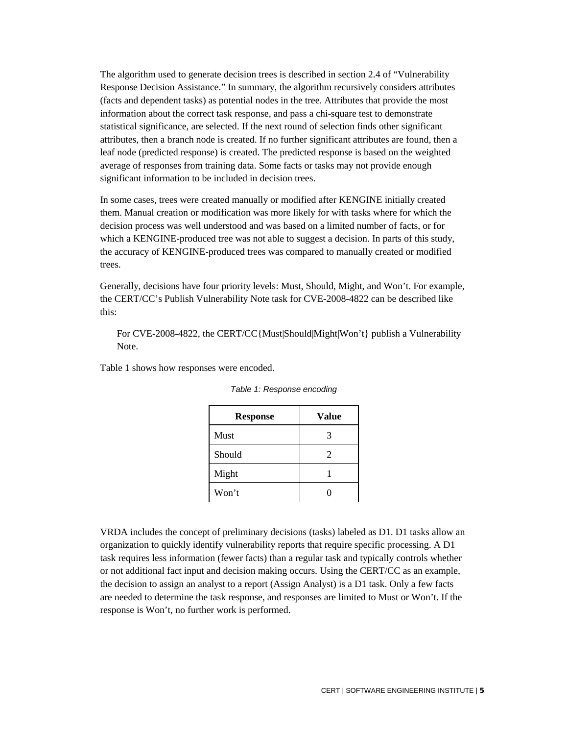The algorithm used to generate decision trees is described in section 2.4 of "Vulnerability Response Decision Assistance." In summary, the algorithm recursively considers attributes (facts and dependent tasks) as potential nodes in the tree. Attributes that provide the most information about the correct task response, and pass a chi-square test to demonstrate statistical significance, are selected. If the next round of selection finds other significant attributes, then a branch node is created. If no further significant attributes are found, then a leaf node (predicted response) is created. The predicted response is based on the weighted average of responses from training data. Some facts or tasks may not provide enough significant information to be included in decision trees.

In some cases, trees were created manually or modified after KENGINE initially created them. Manual creation or modification was more likely for with tasks where for which the decision process was well understood and was based on a limited number of facts, or for which a KENGINE-produced tree was not able to suggest a decision. In parts of this study, the accuracy of KENGINE-produced trees was compared to manually created or modified trees.

Generally, decisions have four priority levels: Must, Should, Might, and Won't. For example, the CERT/CC's Publish Vulnerability Note task for CVE-2008-4822 can be described like this:

For CVE-2008-4822, the CERT/CC{Must|Should|Might|Won't} publish a Vulnerability Note.

Table 1 shows how responses were encoded.

| <b>Response</b> | Value |
|-----------------|-------|
| <b>Must</b>     | 3     |
| Should          | 2     |
| Might           |       |
| Won't           |       |

*Table 1: Response encoding*

VRDA includes the concept of preliminary decisions (tasks) labeled as D1. D1 tasks allow an organization to quickly identify vulnerability reports that require specific processing. A D1 task requires less information (fewer facts) than a regular task and typically controls whether or not additional fact input and decision making occurs. Using the CERT/CC as an example, the decision to assign an analyst to a report (Assign Analyst) is a D1 task. Only a few facts are needed to determine the task response, and responses are limited to Must or Won't. If the response is Won't, no further work is performed.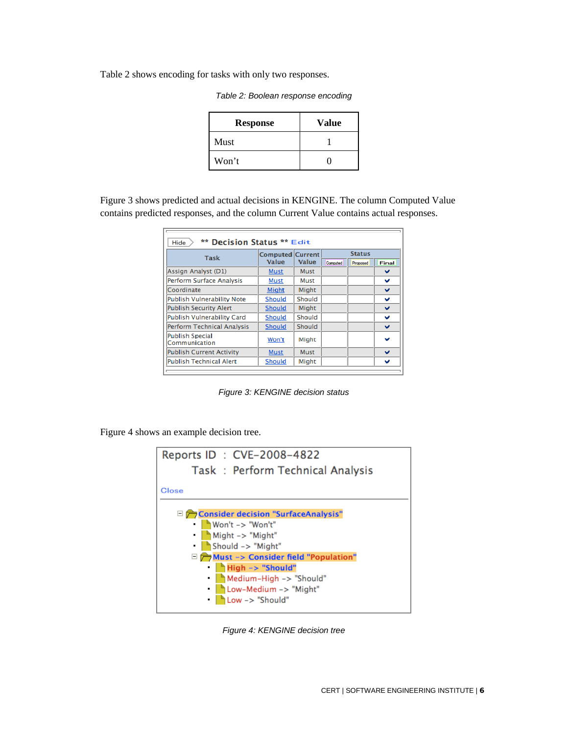Table 2 shows encoding for tasks with only two responses.

|  | Table 2: Boolean response encoding |  |
|--|------------------------------------|--|
|  |                                    |  |

| <b>Response</b> | <b>Value</b> |
|-----------------|--------------|
| Must            |              |
| Won't           |              |

Figure 3 shows predicted and actual decisions in KENGINE. The column Computed Value contains predicted responses, and the column Current Value contains actual responses.

| <b>Task</b>                             | <b>Computed Current</b> |        |          | <b>Status</b> |       |
|-----------------------------------------|-------------------------|--------|----------|---------------|-------|
|                                         | Value                   | Value  | Computed | Proposed      | Final |
| Assign Analyst (D1)                     | <b>Must</b>             | Must   |          |               | v     |
| <b>Perform Surface Analysis</b>         | Must                    | Must   |          |               | v     |
| Coordinate                              | Might                   | Might  |          |               | v     |
| Publish Vulnerability Note              | Should                  | Should |          |               | v     |
| <b>Publish Security Alert</b>           | Should                  | Might  |          |               | v     |
| <b>Publish Vulnerability Card</b>       | Should                  | Should |          |               | v     |
| <b>Perform Technical Analysis</b>       | <b>Should</b>           | Should |          |               | v     |
| <b>Publish Special</b><br>Communication | Won't                   | Might  |          |               | v     |
| <b>Publish Current Activity</b>         | <b>Must</b>             | Must   |          |               | v     |
| <b>Publish Technical Alert</b>          | Should                  | Might  |          |               | v     |

*Figure 3: KENGINE decision status*

Figure 4 shows an example decision tree.



*Figure 4: KENGINE decision tree*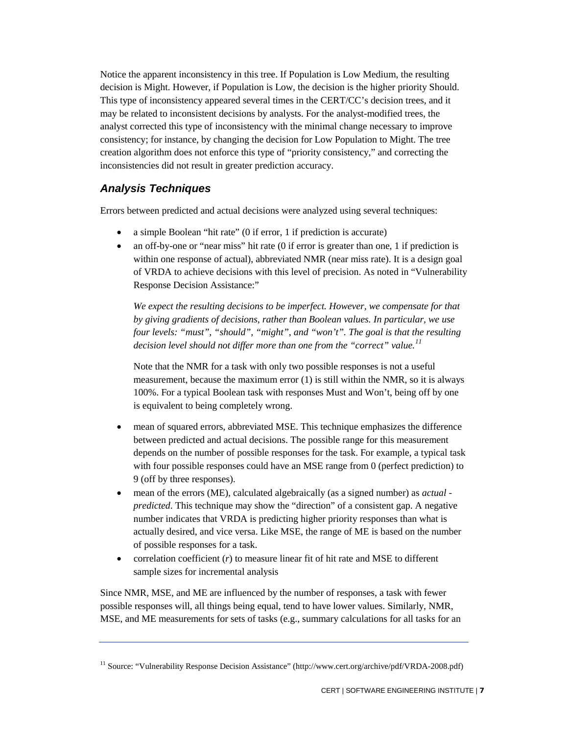Notice the apparent inconsistency in this tree. If Population is Low Medium, the resulting decision is Might. However, if Population is Low, the decision is the higher priority Should. This type of inconsistency appeared several times in the CERT/CC's decision trees, and it may be related to inconsistent decisions by analysts. For the analyst-modified trees, the analyst corrected this type of inconsistency with the minimal change necessary to improve consistency; for instance, by changing the decision for Low Population to Might. The tree creation algorithm does not enforce this type of "priority consistency," and correcting the inconsistencies did not result in greater prediction accuracy.

## <span id="page-11-0"></span>*Analysis Techniques*

Errors between predicted and actual decisions were analyzed using several techniques:

- a simple Boolean "hit rate" (0 if error, 1 if prediction is accurate)
- an off-by-one or "near miss" hit rate (0 if error is greater than one, 1 if prediction is within one response of actual), abbreviated NMR (near miss rate). It is a design goal of VRDA to achieve decisions with this level of precision. As noted in "Vulnerability Response Decision Assistance:"

*We expect the resulting decisions to be imperfect. However, we compensate for that by giving gradients of decisions, rather than Boolean values. In particular, we use four levels: "must", "should", "might", and "won't". The goal is that the resulting decision level should not differ more than one from the "correct" value.[11](#page-11-1)*

Note that the NMR for a task with only two possible responses is not a useful measurement, because the maximum error (1) is still within the NMR, so it is always 100%. For a typical Boolean task with responses Must and Won't, being off by one is equivalent to being completely wrong.

- mean of squared errors, abbreviated MSE. This technique emphasizes the difference between predicted and actual decisions. The possible range for this measurement depends on the number of possible responses for the task. For example, a typical task with four possible responses could have an MSE range from 0 (perfect prediction) to 9 (off by three responses).
- mean of the errors (ME), calculated algebraically (as a signed number) as *actual predicted*. This technique may show the "direction" of a consistent gap. A negative number indicates that VRDA is predicting higher priority responses than what is actually desired, and vice versa. Like MSE, the range of ME is based on the number of possible responses for a task.
- correlation coefficient (*r*) to measure linear fit of hit rate and MSE to different sample sizes for incremental analysis

Since NMR, MSE, and ME are influenced by the number of responses, a task with fewer possible responses will, all things being equal, tend to have lower values. Similarly, NMR, MSE, and ME measurements for sets of tasks (e.g., summary calculations for all tasks for an

<span id="page-11-1"></span><sup>&</sup>lt;sup>11</sup> Source: "Vulnerability Response Decision Assistance" (http://www.cert.org/archive/pdf/VRDA-2008.pdf)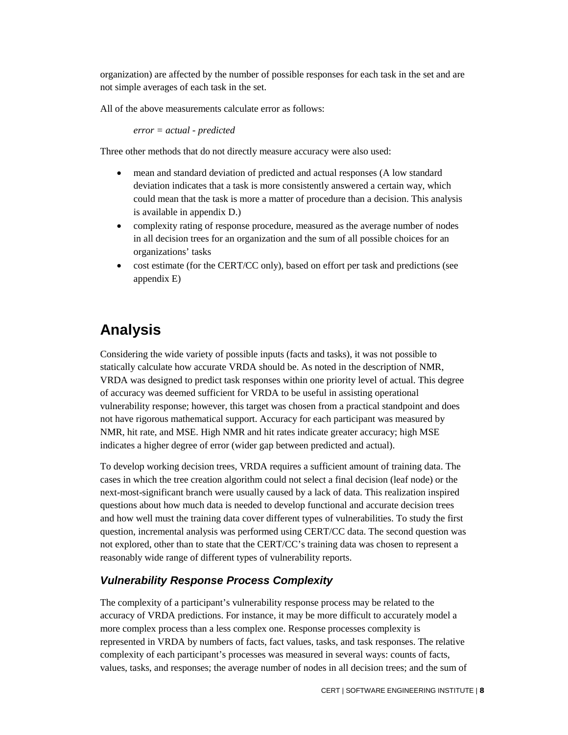organization) are affected by the number of possible responses for each task in the set and are not simple averages of each task in the set.

All of the above measurements calculate error as follows:

*error = actual - predicted*

Three other methods that do not directly measure accuracy were also used:

- mean and standard deviation of predicted and actual responses (A low standard deviation indicates that a task is more consistently answered a certain way, which could mean that the task is more a matter of procedure than a decision. This analysis is available in appendix D.)
- complexity rating of response procedure, measured as the average number of nodes in all decision trees for an organization and the sum of all possible choices for an organizations' tasks
- <span id="page-12-0"></span>• cost estimate (for the CERT/CC only), based on effort per task and predictions (see appendix E)

## **Analysis**

Considering the wide variety of possible inputs (facts and tasks), it was not possible to statically calculate how accurate VRDA should be. As noted in the description of NMR, VRDA was designed to predict task responses within one priority level of actual. This degree of accuracy was deemed sufficient for VRDA to be useful in assisting operational vulnerability response; however, this target was chosen from a practical standpoint and does not have rigorous mathematical support. Accuracy for each participant was measured by NMR, hit rate, and MSE. High NMR and hit rates indicate greater accuracy; high MSE indicates a higher degree of error (wider gap between predicted and actual).

To develop working decision trees, VRDA requires a sufficient amount of training data. The cases in which the tree creation algorithm could not select a final decision (leaf node) or the next-most-significant branch were usually caused by a lack of data. This realization inspired questions about how much data is needed to develop functional and accurate decision trees and how well must the training data cover different types of vulnerabilities. To study the first question, incremental analysis was performed using CERT/CC data. The second question was not explored, other than to state that the CERT/CC's training data was chosen to represent a reasonably wide range of different types of vulnerability reports.

## <span id="page-12-1"></span>*Vulnerability Response Process Complexity*

The complexity of a participant's vulnerability response process may be related to the accuracy of VRDA predictions. For instance, it may be more difficult to accurately model a more complex process than a less complex one. Response processes complexity is represented in VRDA by numbers of facts, fact values, tasks, and task responses. The relative complexity of each participant's processes was measured in several ways: counts of facts, values, tasks, and responses; the average number of nodes in all decision trees; and the sum of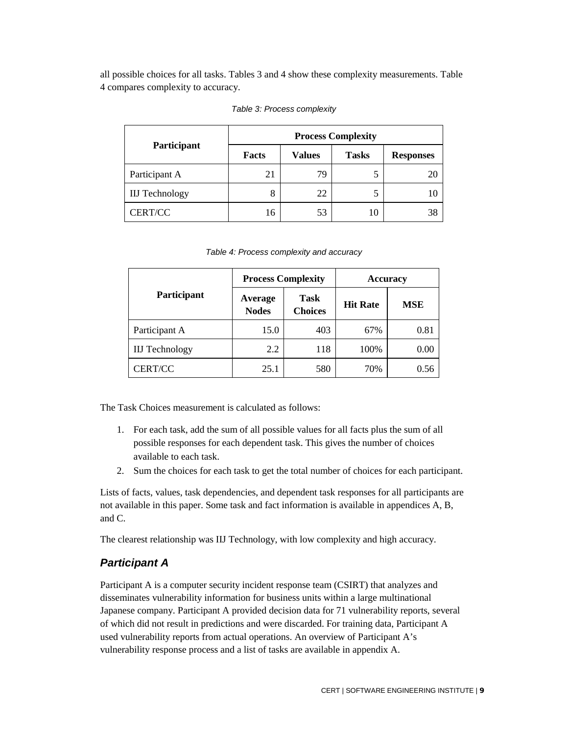all possible choices for all tasks. Tables 3 and 4 show these complexity measurements. Table 4 compares complexity to accuracy.

|                       | <b>Process Complexity</b> |               |              |                  |  |
|-----------------------|---------------------------|---------------|--------------|------------------|--|
| Participant           | Facts                     | <b>Values</b> | <b>Tasks</b> | <b>Responses</b> |  |
| Participant A         | 21                        | 79            |              |                  |  |
| <b>IIJ</b> Technology | Ω                         | 22            |              |                  |  |
| CERT/CC               | 16                        | 53            | 10           |                  |  |

|  | Table 3: Process complexity |  |  |
|--|-----------------------------|--|--|
|--|-----------------------------|--|--|

*Table 4: Process complexity and accuracy*

|                       | <b>Process Complexity</b> |                               | Accuracy        |            |  |
|-----------------------|---------------------------|-------------------------------|-----------------|------------|--|
| Participant           | Average<br><b>Nodes</b>   | <b>Task</b><br><b>Choices</b> | <b>Hit Rate</b> | <b>MSE</b> |  |
| Participant A         | 15.0                      | 403                           | 67%             | 0.81       |  |
| <b>IIJ</b> Technology | 2.2                       | 118                           | 100%            | 0.00       |  |
| CERT/CC               | 25.1                      | 580                           | 70%             | 0.56       |  |

The Task Choices measurement is calculated as follows:

- 1. For each task, add the sum of all possible values for all facts plus the sum of all possible responses for each dependent task. This gives the number of choices available to each task.
- 2. Sum the choices for each task to get the total number of choices for each participant.

Lists of facts, values, task dependencies, and dependent task responses for all participants are not available in this paper. Some task and fact information is available in appendices A, B, and C.

The clearest relationship was IIJ Technology, with low complexity and high accuracy.

#### <span id="page-13-0"></span>*Participant A*

Participant A is a computer security incident response team (CSIRT) that analyzes and disseminates vulnerability information for business units within a large multinational Japanese company. Participant A provided decision data for 71 vulnerability reports, several of which did not result in predictions and were discarded. For training data, Participant A used vulnerability reports from actual operations. An overview of Participant A's vulnerability response process and a list of tasks are available in appendix A.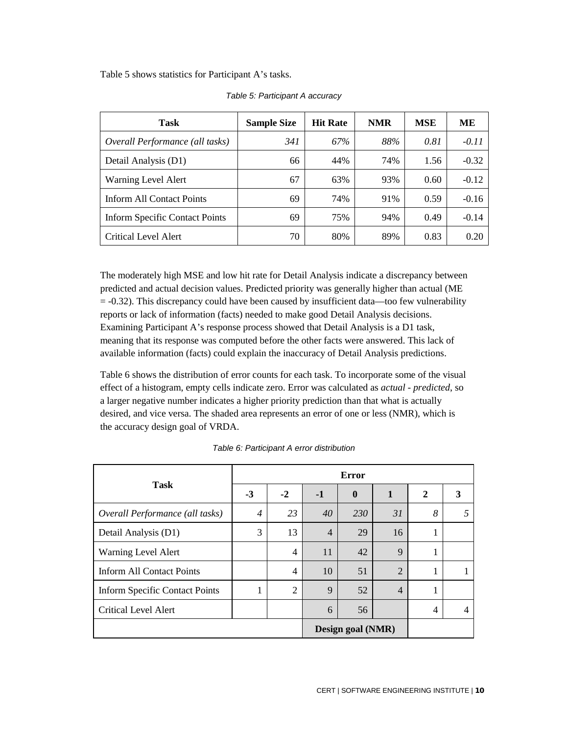Table 5 shows statistics for Participant A's tasks.

| Task                                  | <b>Sample Size</b> | <b>Hit Rate</b> | <b>NMR</b> | <b>MSE</b> | <b>ME</b> |
|---------------------------------------|--------------------|-----------------|------------|------------|-----------|
| Overall Performance (all tasks)       | 341                | 67%             | 88%        | 0.81       | $-0.11$   |
| Detail Analysis (D1)                  | 66                 | 44%             | 74%        | 1.56       | $-0.32$   |
| Warning Level Alert                   | 67                 | 63%             | 93%        | 0.60       | $-0.12$   |
| Inform All Contact Points             | 69                 | 74%             | 91%        | 0.59       | $-0.16$   |
| <b>Inform Specific Contact Points</b> | 69                 | 75%             | 94%        | 0.49       | $-0.14$   |
| Critical Level Alert                  | 70                 | 80%             | 89%        | 0.83       | 0.20      |

*Table 5: Participant A accuracy*

The moderately high MSE and low hit rate for Detail Analysis indicate a discrepancy between predicted and actual decision values. Predicted priority was generally higher than actual (ME = -0.32). This discrepancy could have been caused by insufficient data—too few vulnerability reports or lack of information (facts) needed to make good Detail Analysis decisions. Examining Participant A's response process showed that Detail Analysis is a D1 task, meaning that its response was computed before the other facts were answered. This lack of available information (facts) could explain the inaccuracy of Detail Analysis predictions.

Table 6 shows the distribution of error counts for each task. To incorporate some of the visual effect of a histogram, empty cells indicate zero. Error was calculated as *actual* - *predicted*, so a larger negative number indicates a higher priority prediction than that what is actually desired, and vice versa. The shaded area represents an error of one or less (NMR), which is the accuracy design goal of VRDA.

|                                       |                   |                |                | <b>Error</b> |                |                |                |
|---------------------------------------|-------------------|----------------|----------------|--------------|----------------|----------------|----------------|
| <b>Task</b>                           | $-3$              | $-2$           | $-1$           | $\mathbf{0}$ | $\mathbf{1}$   | $\mathbf{2}$   | 3              |
| Overall Performance (all tasks)       | $\overline{4}$    | 23             | 40             | 230          | 31             | 8              | 5              |
| Detail Analysis (D1)                  | 3                 | 13             | $\overline{4}$ | 29           | 16             | -              |                |
| Warning Level Alert                   |                   | 4              | 11             | 42           | 9              | 1              |                |
| Inform All Contact Points             |                   | 4              | 10             | 51           | $\overline{2}$ | 1              |                |
| <b>Inform Specific Contact Points</b> | -                 | $\overline{2}$ | 9              | 52           | $\overline{4}$ | п              |                |
| <b>Critical Level Alert</b>           |                   |                | 6              | 56           |                | $\overline{4}$ | $\overline{4}$ |
|                                       | Design goal (NMR) |                |                |              |                |                |                |

*Table 6: Participant A error distribution*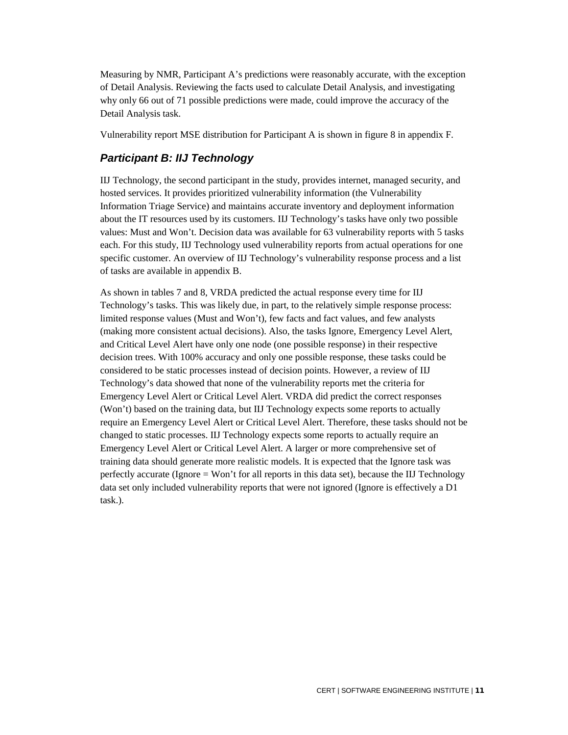Measuring by NMR, Participant A's predictions were reasonably accurate, with the exception of Detail Analysis. Reviewing the facts used to calculate Detail Analysis, and investigating why only 66 out of 71 possible predictions were made, could improve the accuracy of the Detail Analysis task.

Vulnerability report MSE distribution for Participant A is shown in figure 8 in appendix F.

## <span id="page-15-0"></span>*Participant B: IIJ Technology*

IIJ Technology, the second participant in the study, provides internet, managed security, and hosted services. It provides prioritized vulnerability information (the Vulnerability Information Triage Service) and maintains accurate inventory and deployment information about the IT resources used by its customers. IIJ Technology's tasks have only two possible values: Must and Won't. Decision data was available for 63 vulnerability reports with 5 tasks each. For this study, IIJ Technology used vulnerability reports from actual operations for one specific customer. An overview of IIJ Technology's vulnerability response process and a list of tasks are available in appendix B.

As shown in tables 7 and 8, VRDA predicted the actual response every time for IIJ Technology's tasks. This was likely due, in part, to the relatively simple response process: limited response values (Must and Won't), few facts and fact values, and few analysts (making more consistent actual decisions). Also, the tasks Ignore, Emergency Level Alert, and Critical Level Alert have only one node (one possible response) in their respective decision trees. With 100% accuracy and only one possible response, these tasks could be considered to be static processes instead of decision points. However, a review of IIJ Technology's data showed that none of the vulnerability reports met the criteria for Emergency Level Alert or Critical Level Alert. VRDA did predict the correct responses (Won't) based on the training data, but IIJ Technology expects some reports to actually require an Emergency Level Alert or Critical Level Alert. Therefore, these tasks should not be changed to static processes. IIJ Technology expects some reports to actually require an Emergency Level Alert or Critical Level Alert. A larger or more comprehensive set of training data should generate more realistic models. It is expected that the Ignore task was perfectly accurate (Ignore = Won't for all reports in this data set), because the IIJ Technology data set only included vulnerability reports that were not ignored (Ignore is effectively a D1 task.).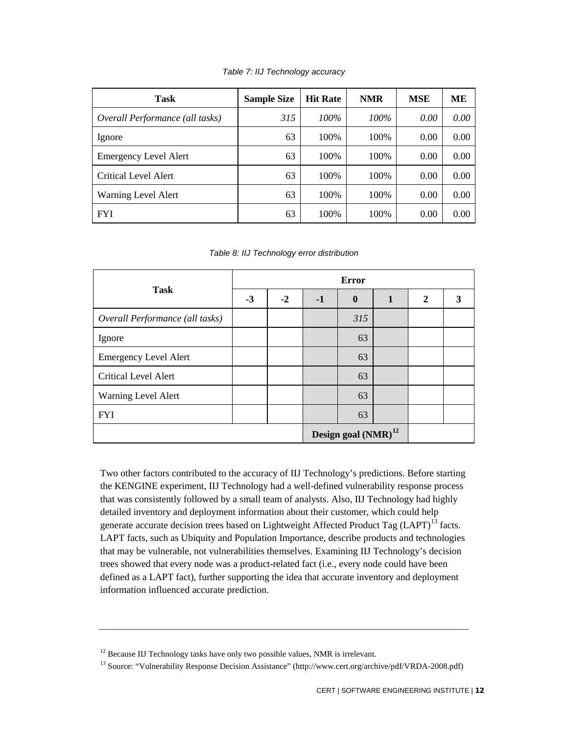| Task                            | <b>Sample Size</b> | <b>Hit Rate</b> | <b>NMR</b> | <b>MSE</b> | MЕ   |
|---------------------------------|--------------------|-----------------|------------|------------|------|
| Overall Performance (all tasks) | 315                | $100\%$         | 100%       | 0.00       | 0.00 |
| Ignore                          | 63                 | 100%            | 100%       | 0.00       | 0.00 |
| <b>Emergency Level Alert</b>    | 63                 | 100%            | 100%       | 0.00       | 0.00 |
| Critical Level Alert            | 63                 | 100\%           | 100%       | 0.00       | 0.00 |
| Warning Level Alert             | 63                 | 100%            | 100%       | 0.00       | 0.00 |
| <b>FYI</b>                      | 63                 | 100%            | 100%       | 0.00       | 0.00 |

#### *Table 8: IIJ Technology error distribution*

|                                 |      | <b>Error</b> |      |                                 |              |   |   |  |  |  |
|---------------------------------|------|--------------|------|---------------------------------|--------------|---|---|--|--|--|
| <b>Task</b>                     | $-3$ | $-2$         | $-1$ | $\boldsymbol{0}$                | $\mathbf{1}$ | 2 | 3 |  |  |  |
| Overall Performance (all tasks) |      |              |      | 315                             |              |   |   |  |  |  |
| Ignore                          |      |              |      | 63                              |              |   |   |  |  |  |
| <b>Emergency Level Alert</b>    |      |              |      | 63                              |              |   |   |  |  |  |
| <b>Critical Level Alert</b>     |      |              |      | 63                              |              |   |   |  |  |  |
| Warning Level Alert             |      |              |      | 63                              |              |   |   |  |  |  |
| <b>FYI</b>                      |      |              |      | 63                              |              |   |   |  |  |  |
|                                 |      |              |      | Design goal (NMR) <sup>12</sup> |              |   |   |  |  |  |

Two other factors contributed to the accuracy of IIJ Technology's predictions. Before starting the KENGINE experiment, IIJ Technology had a well-defined vulnerability response process that was consistently followed by a small team of analysts. Also, IIJ Technology had highly detailed inventory and deployment information about their customer, which could help generate accurate decision trees based on Lightweight Affected Product Tag (LAPT)<sup>[13](#page-16-2)</sup> facts. LAPT facts, such as Ubiquity and Population Importance, describe products and technologies that may be vulnerable, not vulnerabilities themselves. Examining IIJ Technology's decision trees showed that every node was a product-related fact (i.e., every node could have been defined as a LAPT fact), further supporting the idea that accurate inventory and deployment information influenced accurate prediction.

<span id="page-16-1"></span><span id="page-16-0"></span><sup>&</sup>lt;sup>12</sup> Because IIJ Technology tasks have only two possible values, NMR is irrelevant.

<span id="page-16-2"></span><sup>13</sup> Source: "Vulnerability Response Decision Assistance" (http://www.cert.org/archive/pdf/VRDA-2008.pdf)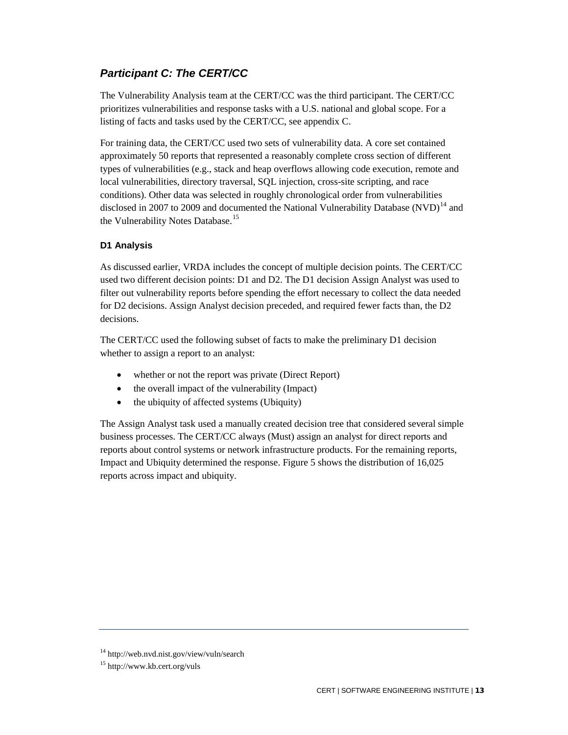## *Participant C: The CERT/CC*

The Vulnerability Analysis team at the CERT/CC was the third participant. The CERT/CC prioritizes vulnerabilities and response tasks with a U.S. national and global scope. For a listing of facts and tasks used by the CERT/CC, see appendix C.

For training data, the CERT/CC used two sets of vulnerability data. A core set contained approximately 50 reports that represented a reasonably complete cross section of different types of vulnerabilities (e.g., stack and heap overflows allowing code execution, remote and local vulnerabilities, directory traversal, SQL injection, cross-site scripting, and race conditions). Other data was selected in roughly chronological order from vulnerabilities disclosed in 2007 to 2009 and documented the National Vulnerability Database (NVD)<sup>[14](#page-17-1)</sup> and the Vulnerability Notes Database.<sup>[15](#page-17-2)</sup>

## <span id="page-17-0"></span>**D1 Analysis**

As discussed earlier, VRDA includes the concept of multiple decision points. The CERT/CC used two different decision points: D1 and D2. The D1 decision Assign Analyst was used to filter out vulnerability reports before spending the effort necessary to collect the data needed for D2 decisions. Assign Analyst decision preceded, and required fewer facts than, the D2 decisions.

The CERT/CC used the following subset of facts to make the preliminary D1 decision whether to assign a report to an analyst:

- whether or not the report was private (Direct Report)
- the overall impact of the vulnerability (Impact)
- the ubiquity of affected systems (Ubiquity)

The Assign Analyst task used a manually created decision tree that considered several simple business processes. The CERT/CC always (Must) assign an analyst for direct reports and reports about control systems or network infrastructure products. For the remaining reports, Impact and Ubiquity determined the response. Figure 5 shows the distribution of 16,025 reports across impact and ubiquity.

<span id="page-17-1"></span><sup>14</sup> http://web.nvd.nist.gov/view/vuln/search

<span id="page-17-2"></span><sup>15</sup> http://www.kb.cert.org/vuls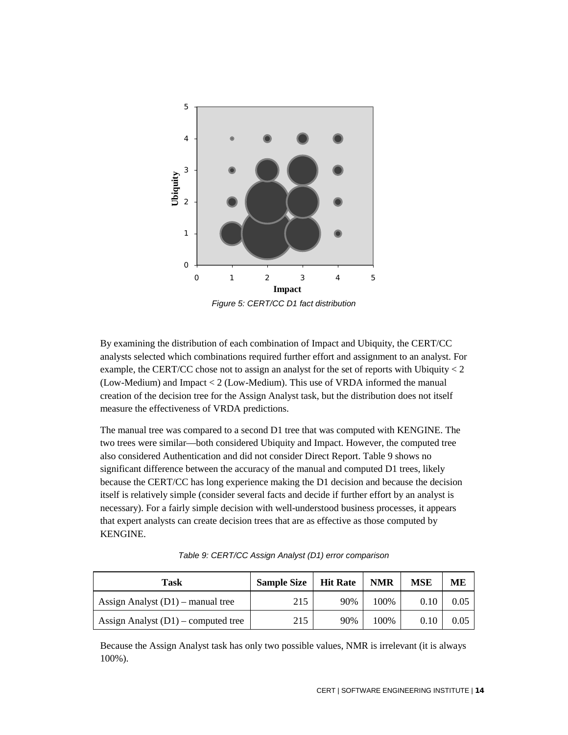

*Figure 5: CERT/CC D1 fact distribution*

By examining the distribution of each combination of Impact and Ubiquity, the CERT/CC analysts selected which combinations required further effort and assignment to an analyst. For example, the CERT/CC chose not to assign an analyst for the set of reports with Ubiquity  $\lt 2$ (Low-Medium) and Impact < 2 (Low-Medium). This use of VRDA informed the manual creation of the decision tree for the Assign Analyst task, but the distribution does not itself measure the effectiveness of VRDA predictions.

The manual tree was compared to a second D1 tree that was computed with KENGINE. The two trees were similar—both considered Ubiquity and Impact. However, the computed tree also considered Authentication and did not consider Direct Report. Table 9 shows no significant difference between the accuracy of the manual and computed D1 trees, likely because the CERT/CC has long experience making the D1 decision and because the decision itself is relatively simple (consider several facts and decide if further effort by an analyst is necessary). For a fairly simple decision with well-understood business processes, it appears that expert analysts can create decision trees that are as effective as those computed by KENGINE.

| Task                                  | <b>Sample Size</b> | <b>Hit Rate</b> | <b>NMR</b> | MSE  | MЕ   |
|---------------------------------------|--------------------|-----------------|------------|------|------|
| Assign Analyst $(D1)$ – manual tree   | 215                | 90%             | 100\%      | 0.10 | 0.05 |
| Assign Analyst $(D1)$ – computed tree | 215                | 90%             | 100\%      | 0.10 | 0.05 |

*Table 9: CERT/CC Assign Analyst (D1) error comparison*

Because the Assign Analyst task has only two possible values, NMR is irrelevant (it is always 100%).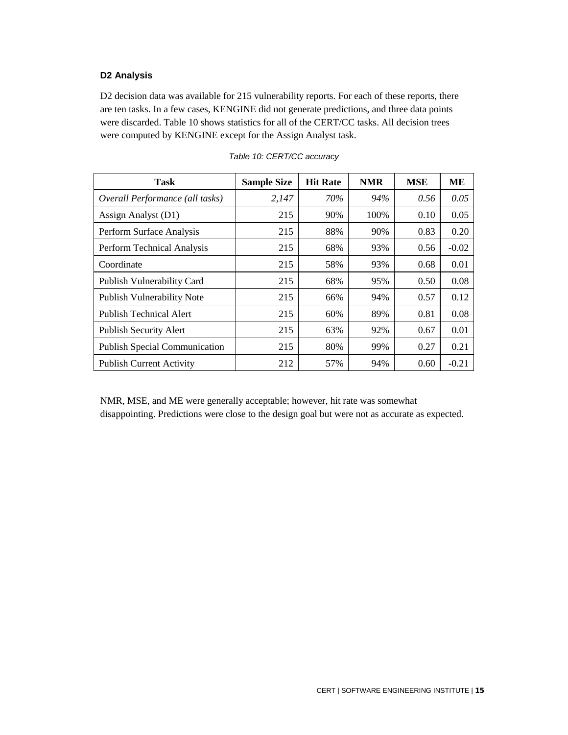### <span id="page-19-0"></span>**D2 Analysis**

D2 decision data was available for 215 vulnerability reports. For each of these reports, there are ten tasks. In a few cases, KENGINE did not generate predictions, and three data points were discarded. Table 10 shows statistics for all of the CERT/CC tasks. All decision trees were computed by KENGINE except for the Assign Analyst task.

| <b>Task</b>                          | <b>Sample Size</b> | <b>Hit Rate</b> | <b>NMR</b> | <b>MSE</b> | ME      |
|--------------------------------------|--------------------|-----------------|------------|------------|---------|
| Overall Performance (all tasks)      | 2,147              | 70%             | 94%        | 0.56       | 0.05    |
| Assign Analyst (D1)                  | 215                | 90%             | 100%       | 0.10       | 0.05    |
| Perform Surface Analysis             | 215                | 88%             | 90%        | 0.83       | 0.20    |
| Perform Technical Analysis           | 215                | 68%             | 93%        | 0.56       | $-0.02$ |
| Coordinate                           | 215                | 58%             | 93%        | 0.68       | 0.01    |
| Publish Vulnerability Card           | 215                | 68%             | 95%        | 0.50       | 0.08    |
| <b>Publish Vulnerability Note</b>    | 215                | 66%             | 94%        | 0.57       | 0.12    |
| <b>Publish Technical Alert</b>       | 215                | 60%             | 89%        | 0.81       | 0.08    |
| <b>Publish Security Alert</b>        | 215                | 63%             | 92%        | 0.67       | 0.01    |
| <b>Publish Special Communication</b> | 215                | 80%             | 99%        | 0.27       | 0.21    |
| <b>Publish Current Activity</b>      | 212                | 57%             | 94%        | 0.60       | $-0.21$ |

*Table 10: CERT/CC accuracy*

NMR, MSE, and ME were generally acceptable; however, hit rate was somewhat disappointing. Predictions were close to the design goal but were not as accurate as expected.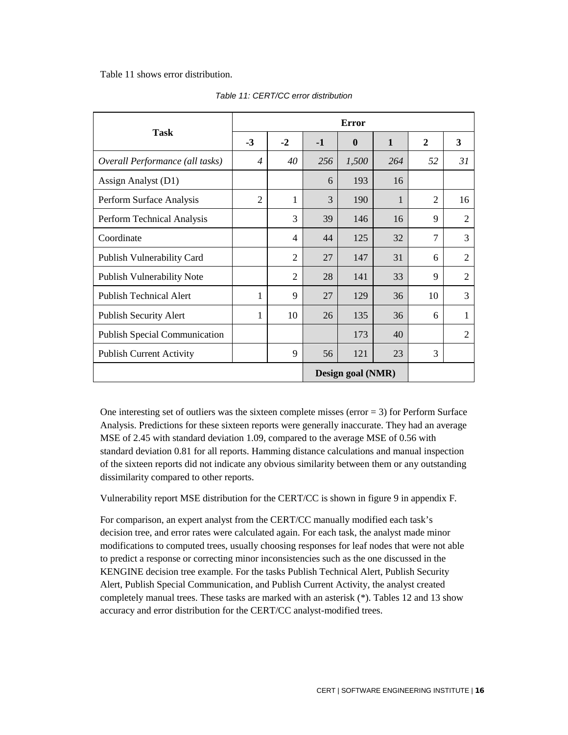Table 11 shows error distribution.

|                                      |                          |                |      | Error             |              |                |                |
|--------------------------------------|--------------------------|----------------|------|-------------------|--------------|----------------|----------------|
| <b>Task</b>                          | $-3$                     | $-2$           | $-1$ | $\boldsymbol{0}$  | $\mathbf{1}$ | $\mathbf{2}$   | 3              |
| Overall Performance (all tasks)      | $\overline{\mathcal{A}}$ | 40             | 256  | 1,500             | 264          | 52             | 31             |
| Assign Analyst (D1)                  |                          |                | 6    | 193               | 16           |                |                |
| Perform Surface Analysis             | $\overline{2}$           | 1              | 3    | 190               | $\mathbf{1}$ | $\overline{2}$ | 16             |
| Perform Technical Analysis           |                          | 3              | 39   | 146               | 16           | 9              | $\overline{2}$ |
| Coordinate                           |                          | $\overline{4}$ | 44   | 125               | 32           | $\overline{7}$ | 3              |
| Publish Vulnerability Card           |                          | $\overline{2}$ | 27   | 147               | 31           | 6              | $\overline{2}$ |
| Publish Vulnerability Note           |                          | $\overline{2}$ | 28   | 141               | 33           | 9              | $\overline{2}$ |
| <b>Publish Technical Alert</b>       | 1                        | 9              | 27   | 129               | 36           | 10             | 3              |
| <b>Publish Security Alert</b>        | 1                        | 10             | 26   | 135               | 36           | 6              | 1              |
| <b>Publish Special Communication</b> |                          |                |      | 173               | 40           |                | $\overline{2}$ |
| <b>Publish Current Activity</b>      |                          | 9              | 56   | 121               | 23           | 3              |                |
|                                      |                          |                |      | Design goal (NMR) |              |                |                |

*Table 11: CERT/CC error distribution*

One interesting set of outliers was the sixteen complete misses ( $error = 3$ ) for Perform Surface Analysis. Predictions for these sixteen reports were generally inaccurate. They had an average MSE of 2.45 with standard deviation 1.09, compared to the average MSE of 0.56 with standard deviation 0.81 for all reports. Hamming distance calculations and manual inspection of the sixteen reports did not indicate any obvious similarity between them or any outstanding dissimilarity compared to other reports.

Vulnerability report MSE distribution for the CERT/CC is shown in figure 9 in appendix F.

For comparison, an expert analyst from the CERT/CC manually modified each task's decision tree, and error rates were calculated again. For each task, the analyst made minor modifications to computed trees, usually choosing responses for leaf nodes that were not able to predict a response or correcting minor inconsistencies such as the one discussed in the KENGINE decision tree example. For the tasks Publish Technical Alert, Publish Security Alert, Publish Special Communication, and Publish Current Activity, the analyst created completely manual trees. These tasks are marked with an asterisk (\*). Tables 12 and 13 show accuracy and error distribution for the CERT/CC analyst-modified trees.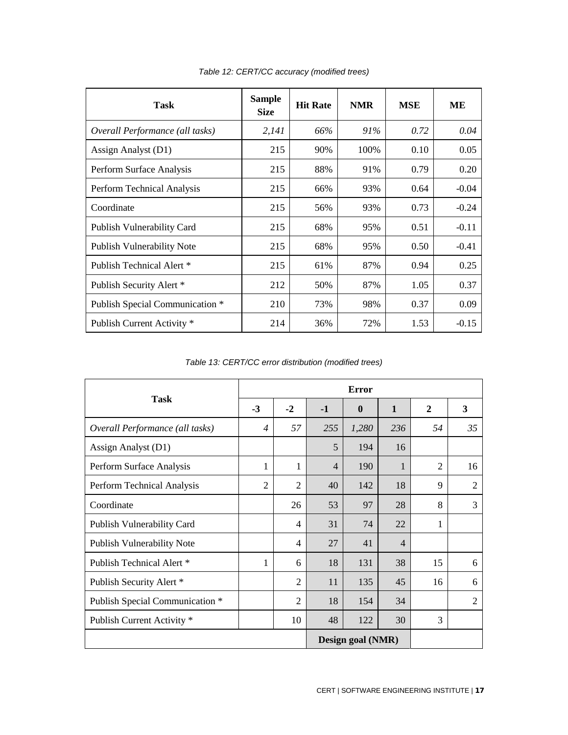| Task                              | <b>Sample</b><br><b>Size</b> | <b>Hit Rate</b> | <b>NMR</b> | <b>MSE</b> | ME      |
|-----------------------------------|------------------------------|-----------------|------------|------------|---------|
| Overall Performance (all tasks)   | 2,141                        | 66%             | 91%        | 0.72       | 0.04    |
| Assign Analyst (D1)               | 215                          | 90%             | 100%       | 0.10       | 0.05    |
| Perform Surface Analysis          | 215                          | 88%             | 91%        | 0.79       | 0.20    |
| Perform Technical Analysis        | 215                          | 66%             | 93%        | 0.64       | $-0.04$ |
| Coordinate                        | 215                          | 56%             | 93%        | 0.73       | $-0.24$ |
| <b>Publish Vulnerability Card</b> | 215                          | 68%             | 95%        | 0.51       | $-0.11$ |
| Publish Vulnerability Note        | 215                          | 68%             | 95%        | 0.50       | $-0.41$ |
| Publish Technical Alert *         | 215                          | 61%             | 87%        | 0.94       | 0.25    |
| Publish Security Alert *          | 212                          | 50%             | 87%        | 1.05       | 0.37    |
| Publish Special Communication *   | 210                          | 73%             | 98%        | 0.37       | 0.09    |
| Publish Current Activity *        | 214                          | 36%             | 72%        | 1.53       | $-0.15$ |

*Table 12: CERT/CC accuracy (modified trees)*

*Table 13: CERT/CC error distribution (modified trees)*

|                                 |                |                |                | <b>Error</b>      |                |                |                |
|---------------------------------|----------------|----------------|----------------|-------------------|----------------|----------------|----------------|
| <b>Task</b>                     | $-3$           | $-2$           | $-1$           | $\mathbf{0}$      | $\mathbf{1}$   | $\mathbf{2}$   | 3              |
| Overall Performance (all tasks) | $\overline{4}$ | 57             | 255            | 1,280             | 236            | 54             | 35             |
| Assign Analyst (D1)             |                |                | 5              | 194               | 16             |                |                |
| Perform Surface Analysis        | 1              | 1              | $\overline{4}$ | 190               | 1              | $\overline{2}$ | 16             |
| Perform Technical Analysis      | 2              | $\overline{2}$ | 40             | 142               | 18             | 9              | 2              |
| Coordinate                      |                | 26             | 53             | 97                | 28             | 8              | $\overline{3}$ |
| Publish Vulnerability Card      |                | $\overline{4}$ | 31             | 74                | 22             | 1              |                |
| Publish Vulnerability Note      |                | 4              | 27             | 41                | $\overline{4}$ |                |                |
| Publish Technical Alert *       | 1              | 6              | 18             | 131               | 38             | 15             | 6              |
| Publish Security Alert *        |                | $\overline{2}$ | 11             | 135               | 45             | 16             | 6              |
| Publish Special Communication * |                | $\overline{2}$ | 18             | 154               | 34             |                | $\overline{2}$ |
| Publish Current Activity *      |                | 10             | 48             | 122               | 30             | 3              |                |
|                                 |                |                |                | Design goal (NMR) |                |                |                |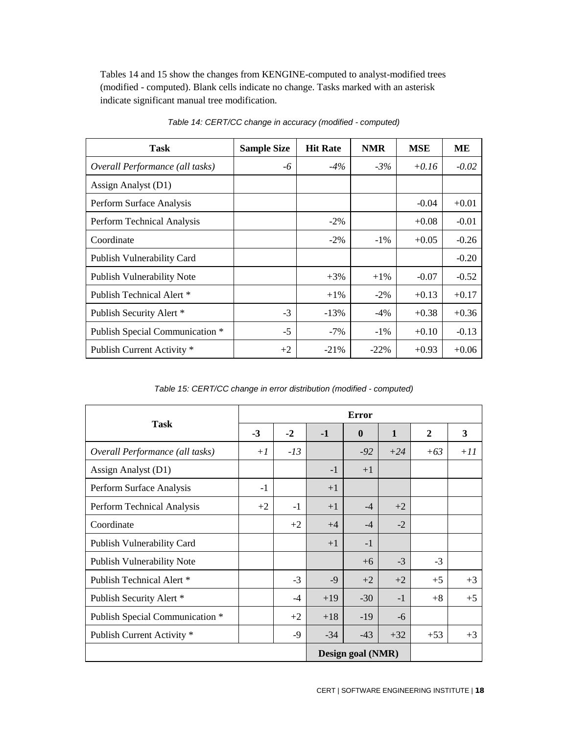Tables 14 and 15 show the changes from KENGINE-computed to analyst-modified trees (modified - computed). Blank cells indicate no change. Tasks marked with an asterisk indicate significant manual tree modification.

| <b>Task</b>                       | <b>Sample Size</b> | <b>Hit Rate</b> | <b>NMR</b> | <b>MSE</b> | ME      |
|-----------------------------------|--------------------|-----------------|------------|------------|---------|
| Overall Performance (all tasks)   | -6                 | $-4\%$          | $-3%$      | $+0.16$    | $-0.02$ |
| Assign Analyst (D1)               |                    |                 |            |            |         |
| Perform Surface Analysis          |                    |                 |            | $-0.04$    | $+0.01$ |
| Perform Technical Analysis        |                    | $-2\%$          |            | $+0.08$    | $-0.01$ |
| Coordinate                        |                    | $-2\%$          | $-1\%$     | $+0.05$    | $-0.26$ |
| Publish Vulnerability Card        |                    |                 |            |            | $-0.20$ |
| <b>Publish Vulnerability Note</b> |                    | $+3\%$          | $+1\%$     | $-0.07$    | $-0.52$ |
| Publish Technical Alert *         |                    | $+1\%$          | $-2\%$     | $+0.13$    | $+0.17$ |
| Publish Security Alert *          | $-3$               | $-13%$          | $-4\%$     | $+0.38$    | $+0.36$ |
| Publish Special Communication *   | $-5$               | $-7%$           | $-1\%$     | $+0.10$    | $-0.13$ |
| Publish Current Activity *        | $+2$               | $-21%$          | $-22\%$    | $+0.93$    | $+0.06$ |

*Table 14: CERT/CC change in accuracy (modified - computed)*

*Table 15: CERT/CC change in error distribution (modified - computed)*

|                                 |      |       |       | <b>Error</b>      |              |              |       |
|---------------------------------|------|-------|-------|-------------------|--------------|--------------|-------|
| <b>Task</b>                     | $-3$ | $-2$  | $-1$  | $\mathbf{0}$      | $\mathbf{1}$ | $\mathbf{2}$ | 3     |
| Overall Performance (all tasks) | $+1$ | $-13$ |       | $-92$             | $+24$        | $+63$        | $+11$ |
| Assign Analyst (D1)             |      |       | $-1$  | $+1$              |              |              |       |
| Perform Surface Analysis        | $-1$ |       | $+1$  |                   |              |              |       |
| Perform Technical Analysis      | $+2$ | $-1$  | $+1$  | $-4$              | $+2$         |              |       |
| Coordinate                      |      | $+2$  | $+4$  | $-4$              | $-2$         |              |       |
| Publish Vulnerability Card      |      |       | $+1$  | $-1$              |              |              |       |
| Publish Vulnerability Note      |      |       |       | $+6$              | $-3$         | $-3$         |       |
| Publish Technical Alert *       |      | $-3$  | $-9$  | $+2$              | $+2$         | $+5$         | $+3$  |
| Publish Security Alert *        |      | $-4$  | $+19$ | $-30$             | $-1$         | $+8$         | $+5$  |
| Publish Special Communication * |      | $+2$  | $+18$ | $-19$             | $-6$         |              |       |
| Publish Current Activity *      |      | $-9$  | $-34$ | $-43$             | $+32$        | $+53$        | $+3$  |
|                                 |      |       |       | Design goal (NMR) |              |              |       |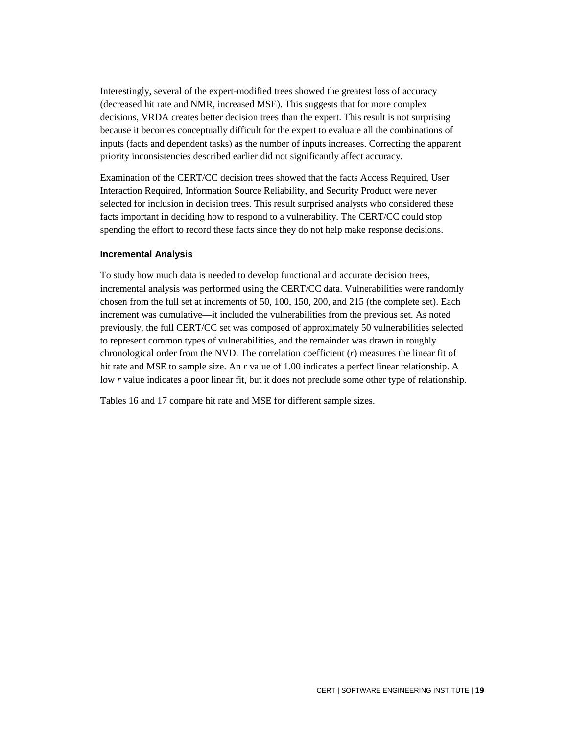Interestingly, several of the expert-modified trees showed the greatest loss of accuracy (decreased hit rate and NMR, increased MSE). This suggests that for more complex decisions, VRDA creates better decision trees than the expert. This result is not surprising because it becomes conceptually difficult for the expert to evaluate all the combinations of inputs (facts and dependent tasks) as the number of inputs increases. Correcting the apparent priority inconsistencies described earlier did not significantly affect accuracy.

Examination of the CERT/CC decision trees showed that the facts Access Required, User Interaction Required, Information Source Reliability, and Security Product were never selected for inclusion in decision trees. This result surprised analysts who considered these facts important in deciding how to respond to a vulnerability. The CERT/CC could stop spending the effort to record these facts since they do not help make response decisions.

#### <span id="page-23-0"></span>**Incremental Analysis**

To study how much data is needed to develop functional and accurate decision trees, incremental analysis was performed using the CERT/CC data. Vulnerabilities were randomly chosen from the full set at increments of 50, 100, 150, 200, and 215 (the complete set). Each increment was cumulative—it included the vulnerabilities from the previous set. As noted previously, the full CERT/CC set was composed of approximately 50 vulnerabilities selected to represent common types of vulnerabilities, and the remainder was drawn in roughly chronological order from the NVD. The correlation coefficient (*r*) measures the linear fit of hit rate and MSE to sample size. An *r* value of 1.00 indicates a perfect linear relationship. A low *r* value indicates a poor linear fit, but it does not preclude some other type of relationship.

Tables 16 and 17 compare hit rate and MSE for different sample sizes.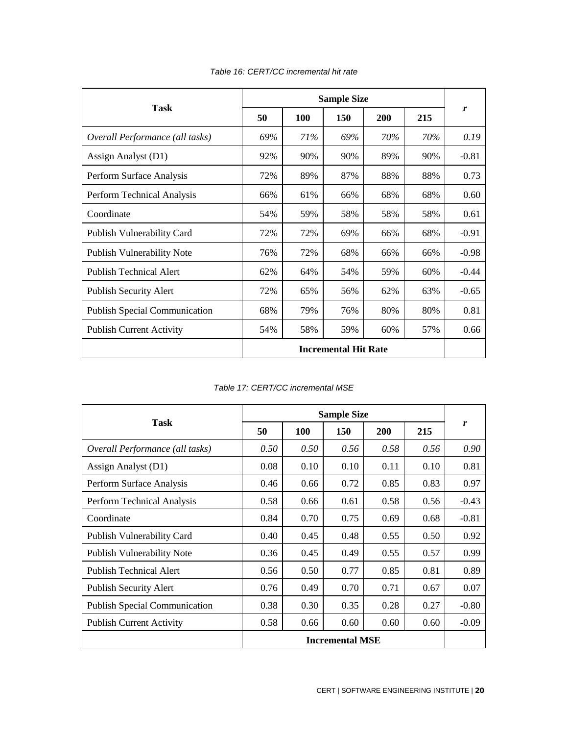|                                      |     |     | <b>Sample Size</b>          |     |     |         |
|--------------------------------------|-----|-----|-----------------------------|-----|-----|---------|
| <b>Task</b>                          | 50  | 100 | 150                         | 200 | 215 | r       |
| Overall Performance (all tasks)      | 69% | 71% | 69%                         | 70% | 70% | 0.19    |
| Assign Analyst (D1)                  | 92% | 90% | 90%                         | 89% | 90% | $-0.81$ |
| Perform Surface Analysis             | 72% | 89% | 87%                         | 88% | 88% | 0.73    |
| Perform Technical Analysis           | 66% | 61% | 66%                         | 68% | 68% | 0.60    |
| Coordinate                           | 54% | 59% | 58%                         | 58% | 58% | 0.61    |
| Publish Vulnerability Card           | 72% | 72% | 69%                         | 66% | 68% | $-0.91$ |
| Publish Vulnerability Note           | 76% | 72% | 68%                         | 66% | 66% | $-0.98$ |
| <b>Publish Technical Alert</b>       | 62% | 64% | 54%                         | 59% | 60% | $-0.44$ |
| <b>Publish Security Alert</b>        | 72% | 65% | 56%                         | 62% | 63% | $-0.65$ |
| <b>Publish Special Communication</b> | 68% | 79% | 76%                         | 80% | 80% | 0.81    |
| <b>Publish Current Activity</b>      | 54% | 58% | 59%                         | 60% | 57% | 0.66    |
|                                      |     |     | <b>Incremental Hit Rate</b> |     |     |         |

*Table 16: CERT/CC incremental hit rate*

*Table 17: CERT/CC incremental MSE*

| Task                                 |                        |      |      |            |      |         |
|--------------------------------------|------------------------|------|------|------------|------|---------|
|                                      | 50                     | 100  | 150  | <b>200</b> | 215  | r       |
| Overall Performance (all tasks)      | 0.50                   | 0.50 | 0.56 | 0.58       | 0.56 | 0.90    |
| Assign Analyst (D1)                  | 0.08                   | 0.10 | 0.10 | 0.11       | 0.10 | 0.81    |
| Perform Surface Analysis             | 0.46                   | 0.66 | 0.72 | 0.85       | 0.83 | 0.97    |
| Perform Technical Analysis           | 0.58                   | 0.66 | 0.61 | 0.58       | 0.56 | $-0.43$ |
| Coordinate                           | 0.84                   | 0.70 | 0.75 | 0.69       | 0.68 | $-0.81$ |
| Publish Vulnerability Card           | 0.40                   | 0.45 | 0.48 | 0.55       | 0.50 | 0.92    |
| <b>Publish Vulnerability Note</b>    | 0.36                   | 0.45 | 0.49 | 0.55       | 0.57 | 0.99    |
| <b>Publish Technical Alert</b>       | 0.56                   | 0.50 | 0.77 | 0.85       | 0.81 | 0.89    |
| <b>Publish Security Alert</b>        | 0.76                   | 0.49 | 0.70 | 0.71       | 0.67 | 0.07    |
| <b>Publish Special Communication</b> | 0.38                   | 0.30 | 0.35 | 0.28       | 0.27 | $-0.80$ |
| <b>Publish Current Activity</b>      | 0.58                   | 0.66 | 0.60 | 0.60       | 0.60 | $-0.09$ |
|                                      | <b>Incremental MSE</b> |      |      |            |      |         |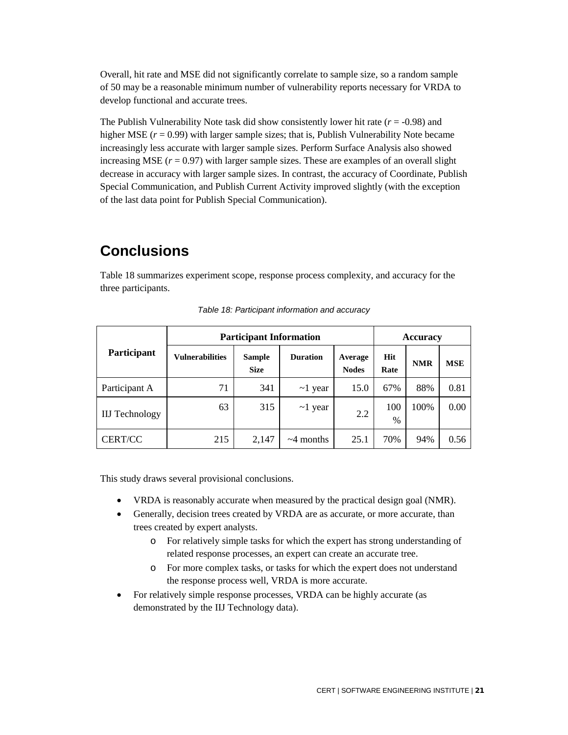Overall, hit rate and MSE did not significantly correlate to sample size, so a random sample of 50 may be a reasonable minimum number of vulnerability reports necessary for VRDA to develop functional and accurate trees.

The Publish Vulnerability Note task did show consistently lower hit rate  $(r = -0.98)$  and higher MSE ( $r = 0.99$ ) with larger sample sizes; that is, Publish Vulnerability Note became increasingly less accurate with larger sample sizes. Perform Surface Analysis also showed increasing MSE  $(r = 0.97)$  with larger sample sizes. These are examples of an overall slight decrease in accuracy with larger sample sizes. In contrast, the accuracy of Coordinate, Publish Special Communication, and Publish Current Activity improved slightly (with the exception of the last data point for Publish Special Communication).

## <span id="page-25-0"></span>**Conclusions**

Table 18 summarizes experiment scope, response process complexity, and accuracy for the three participants.

|                       | <b>Participant Information</b> | <b>Accuracy</b>              |                 |                         |             |            |            |
|-----------------------|--------------------------------|------------------------------|-----------------|-------------------------|-------------|------------|------------|
| Participant           | <b>Vulnerabilities</b>         | <b>Sample</b><br><b>Size</b> | <b>Duration</b> | Average<br><b>Nodes</b> | Hit<br>Rate | <b>NMR</b> | <b>MSE</b> |
| Participant A         | 71                             | 341                          | $\sim$ 1 year   | 15.0                    | 67%         | 88%        | 0.81       |
| <b>IIJ</b> Technology | 63                             | 315                          | $\sim$ 1 year   | 2.2                     | 100<br>$\%$ | 100%       | 0.00       |
| <b>CERT/CC</b>        | 215                            | 2,147                        | $\sim$ 4 months | 25.1                    | 70%         | 94%        | 0.56       |

*Table 18: Participant information and accuracy*

This study draws several provisional conclusions.

- VRDA is reasonably accurate when measured by the practical design goal (NMR).
- Generally, decision trees created by VRDA are as accurate, or more accurate, than trees created by expert analysts.
	- o For relatively simple tasks for which the expert has strong understanding of related response processes, an expert can create an accurate tree.
	- o For more complex tasks, or tasks for which the expert does not understand the response process well, VRDA is more accurate.
- For relatively simple response processes, VRDA can be highly accurate (as demonstrated by the IIJ Technology data).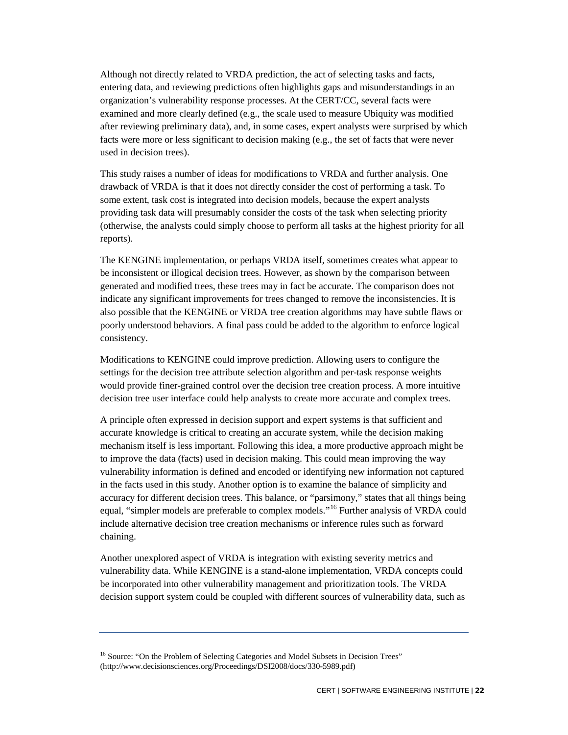Although not directly related to VRDA prediction, the act of selecting tasks and facts, entering data, and reviewing predictions often highlights gaps and misunderstandings in an organization's vulnerability response processes. At the CERT/CC, several facts were examined and more clearly defined (e.g., the scale used to measure Ubiquity was modified after reviewing preliminary data), and, in some cases, expert analysts were surprised by which facts were more or less significant to decision making (e.g., the set of facts that were never used in decision trees).

This study raises a number of ideas for modifications to VRDA and further analysis. One drawback of VRDA is that it does not directly consider the cost of performing a task. To some extent, task cost is integrated into decision models, because the expert analysts providing task data will presumably consider the costs of the task when selecting priority (otherwise, the analysts could simply choose to perform all tasks at the highest priority for all reports).

The KENGINE implementation, or perhaps VRDA itself, sometimes creates what appear to be inconsistent or illogical decision trees. However, as shown by the comparison between generated and modified trees, these trees may in fact be accurate. The comparison does not indicate any significant improvements for trees changed to remove the inconsistencies. It is also possible that the KENGINE or VRDA tree creation algorithms may have subtle flaws or poorly understood behaviors. A final pass could be added to the algorithm to enforce logical consistency.

Modifications to KENGINE could improve prediction. Allowing users to configure the settings for the decision tree attribute selection algorithm and per-task response weights would provide finer-grained control over the decision tree creation process. A more intuitive decision tree user interface could help analysts to create more accurate and complex trees.

A principle often expressed in decision support and expert systems is that sufficient and accurate knowledge is critical to creating an accurate system, while the decision making mechanism itself is less important. Following this idea, a more productive approach might be to improve the data (facts) used in decision making. This could mean improving the way vulnerability information is defined and encoded or identifying new information not captured in the facts used in this study. Another option is to examine the balance of simplicity and accuracy for different decision trees. This balance, or "parsimony," states that all things being equal, "simpler models are preferable to complex models."<sup>[16](#page-26-0)</sup> Further analysis of VRDA could include alternative decision tree creation mechanisms or inference rules such as forward chaining.

Another unexplored aspect of VRDA is integration with existing severity metrics and vulnerability data. While KENGINE is a stand-alone implementation, VRDA concepts could be incorporated into other vulnerability management and prioritization tools. The VRDA decision support system could be coupled with different sources of vulnerability data, such as

<span id="page-26-0"></span><sup>&</sup>lt;sup>16</sup> Source: "On the Problem of Selecting Categories and Model Subsets in Decision Trees" (http://www.decisionsciences.org/Proceedings/DSI2008/docs/330-5989.pdf)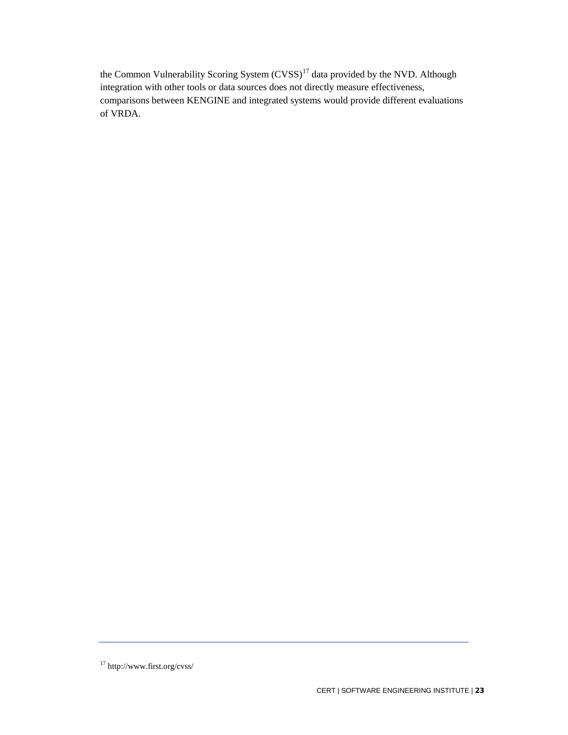the Common Vulnerability Scoring System (CVSS)<sup>[17](#page-27-0)</sup> data provided by the NVD. Although integration with other tools or data sources does not directly measure effectiveness, comparisons between KENGINE and integrated systems would provide different evaluations of VRDA.

<span id="page-27-0"></span><sup>17</sup> http://www.first.org/cvss/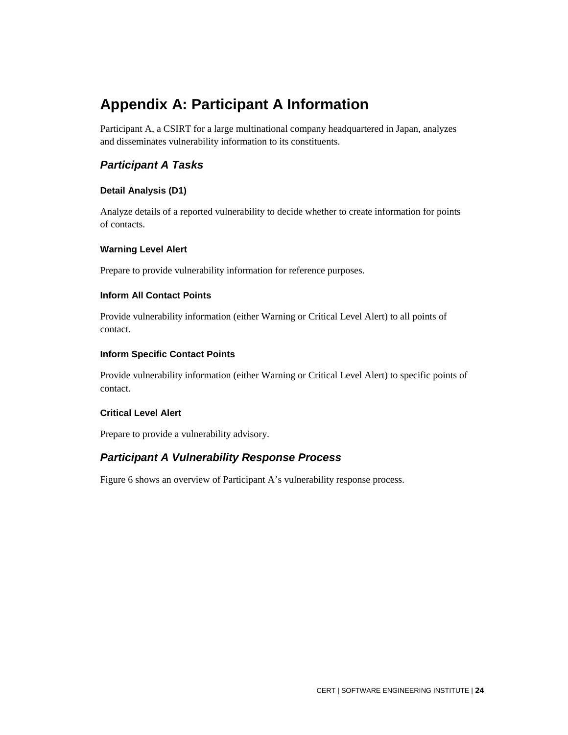## **Appendix A: Participant A Information**

Participant A, a CSIRT for a large multinational company headquartered in Japan, analyzes and disseminates vulnerability information to its constituents.

## <span id="page-28-0"></span>*Participant A Tasks*

## <span id="page-28-1"></span>**Detail Analysis (D1)**

Analyze details of a reported vulnerability to decide whether to create information for points of contacts.

## <span id="page-28-2"></span>**Warning Level Alert**

Prepare to provide vulnerability information for reference purposes.

## <span id="page-28-3"></span>**Inform All Contact Points**

Provide vulnerability information (either Warning or Critical Level Alert) to all points of contact.

## <span id="page-28-4"></span>**Inform Specific Contact Points**

Provide vulnerability information (either Warning or Critical Level Alert) to specific points of contact.

## <span id="page-28-5"></span>**Critical Level Alert**

Prepare to provide a vulnerability advisory.

## <span id="page-28-6"></span>*Participant A Vulnerability Response Process*

Figure 6 shows an overview of Participant A's vulnerability response process.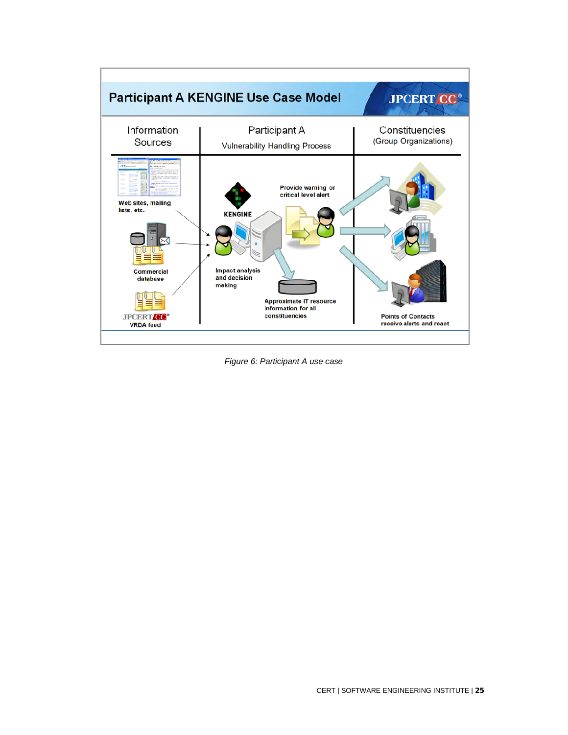

*Figure 6: Participant A use case*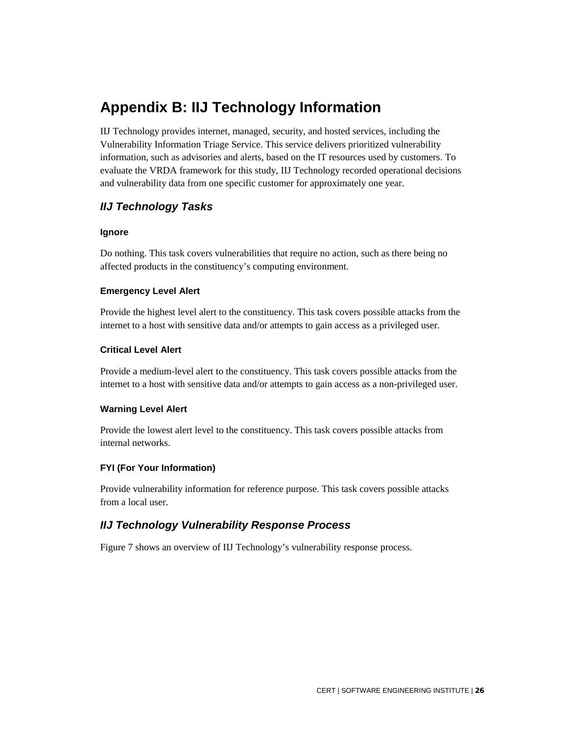## **Appendix B: IIJ Technology Information**

IIJ Technology provides internet, managed, security, and hosted services, including the Vulnerability Information Triage Service. This service delivers prioritized vulnerability information, such as advisories and alerts, based on the IT resources used by customers. To evaluate the VRDA framework for this study, IIJ Technology recorded operational decisions and vulnerability data from one specific customer for approximately one year.

## <span id="page-30-0"></span>*IIJ Technology Tasks*

#### <span id="page-30-1"></span>**Ignore**

Do nothing. This task covers vulnerabilities that require no action, such as there being no affected products in the constituency's computing environment.

#### <span id="page-30-2"></span>**Emergency Level Alert**

Provide the highest level alert to the constituency. This task covers possible attacks from the internet to a host with sensitive data and/or attempts to gain access as a privileged user.

#### <span id="page-30-3"></span>**Critical Level Alert**

Provide a medium-level alert to the constituency. This task covers possible attacks from the internet to a host with sensitive data and/or attempts to gain access as a non-privileged user.

## <span id="page-30-4"></span>**Warning Level Alert**

Provide the lowest alert level to the constituency. This task covers possible attacks from internal networks.

## <span id="page-30-5"></span>**FYI (For Your Information)**

Provide vulnerability information for reference purpose. This task covers possible attacks from a local user.

## <span id="page-30-6"></span>*IIJ Technology Vulnerability Response Process*

Figure 7 shows an overview of IIJ Technology's vulnerability response process.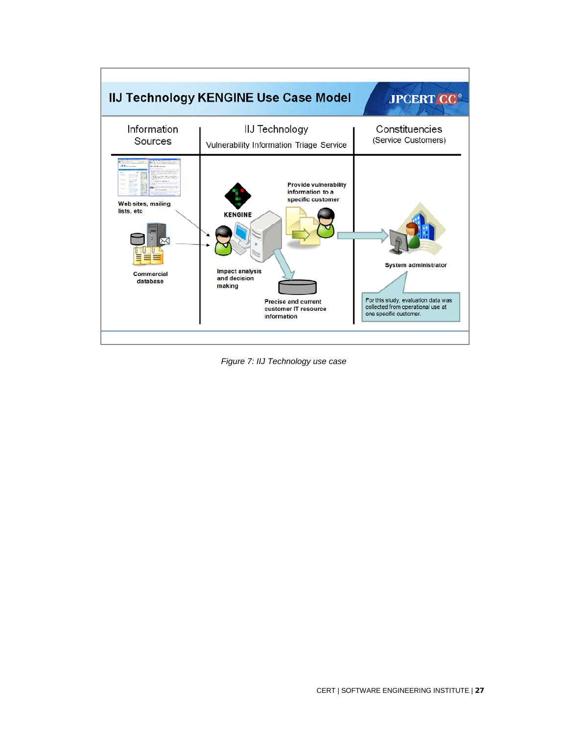

*Figure 7: IIJ Technology use case*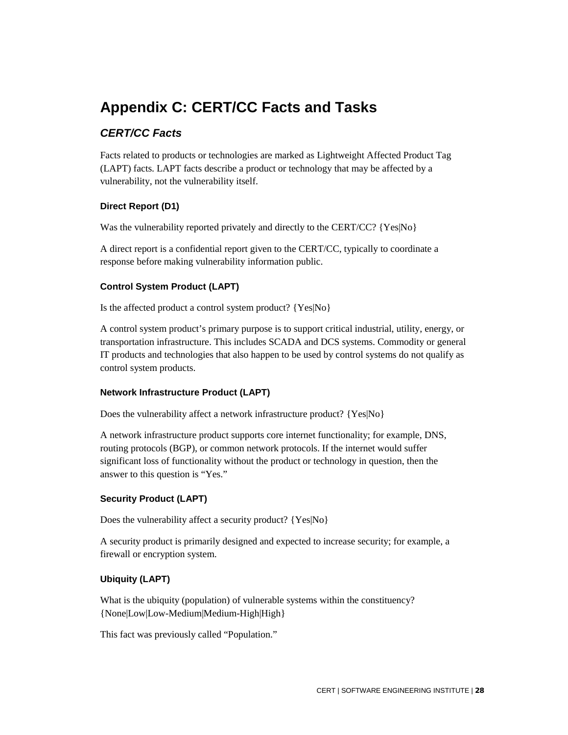## **Appendix C: CERT/CC Facts and Tasks**

## <span id="page-32-0"></span>*CERT/CC Facts*

Facts related to products or technologies are marked as Lightweight Affected Product Tag (LAPT) facts. LAPT facts describe a product or technology that may be affected by a vulnerability, not the vulnerability itself.

## <span id="page-32-1"></span>**Direct Report (D1)**

Was the vulnerability reported privately and directly to the CERT/CC? {Yes|No}

A direct report is a confidential report given to the CERT/CC, typically to coordinate a response before making vulnerability information public.

## <span id="page-32-2"></span>**Control System Product (LAPT)**

Is the affected product a control system product? {Yes|No}

A control system product's primary purpose is to support critical industrial, utility, energy, or transportation infrastructure. This includes SCADA and DCS systems. Commodity or general IT products and technologies that also happen to be used by control systems do not qualify as control system products.

## <span id="page-32-3"></span>**Network Infrastructure Product (LAPT)**

Does the vulnerability affect a network infrastructure product? {Yes|No}

A network infrastructure product supports core internet functionality; for example, DNS, routing protocols (BGP), or common network protocols. If the internet would suffer significant loss of functionality without the product or technology in question, then the answer to this question is "Yes."

## <span id="page-32-4"></span>**Security Product (LAPT)**

Does the vulnerability affect a security product? {Yes|No}

A security product is primarily designed and expected to increase security; for example, a firewall or encryption system.

## <span id="page-32-5"></span>**Ubiquity (LAPT)**

What is the ubiquity (population) of vulnerable systems within the constituency? {None|Low|Low-Medium|Medium-High|High}

This fact was previously called "Population."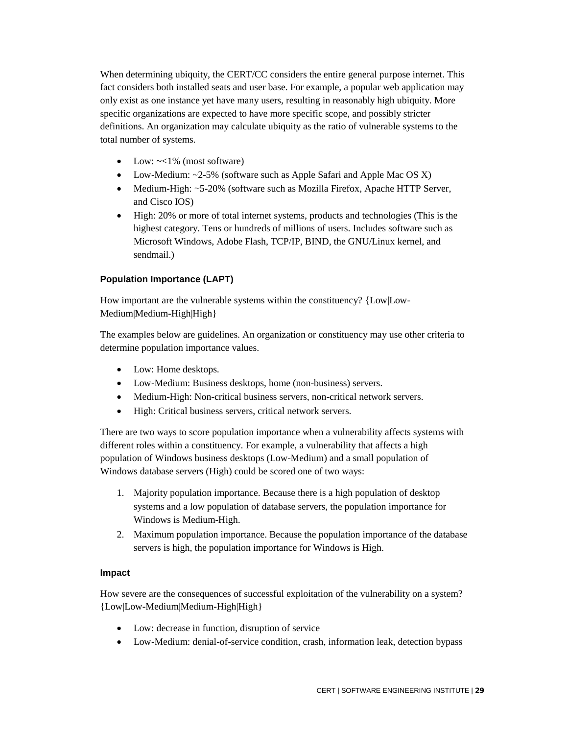When determining ubiquity, the CERT/CC considers the entire general purpose internet. This fact considers both installed seats and user base. For example, a popular web application may only exist as one instance yet have many users, resulting in reasonably high ubiquity. More specific organizations are expected to have more specific scope, and possibly stricter definitions. An organization may calculate ubiquity as the ratio of vulnerable systems to the total number of systems.

- Low:  $\sim$  1% (most software)
- Low-Medium:  $\sim$ 2-5% (software such as Apple Safari and Apple Mac OS X)
- Medium-High: ~5-20% (software such as Mozilla Firefox, Apache HTTP Server, and Cisco IOS)
- High: 20% or more of total internet systems, products and technologies (This is the highest category. Tens or hundreds of millions of users. Includes software such as Microsoft Windows, Adobe Flash, TCP/IP, BIND, the GNU/Linux kernel, and sendmail.)

#### <span id="page-33-0"></span>**Population Importance (LAPT)**

How important are the vulnerable systems within the constituency? {Low|Low-Medium|Medium-High|High}

The examples below are guidelines. An organization or constituency may use other criteria to determine population importance values.

- Low: Home desktops.
- Low-Medium: Business desktops, home (non-business) servers.
- Medium-High: Non-critical business servers, non-critical network servers.
- High: Critical business servers, critical network servers.

There are two ways to score population importance when a vulnerability affects systems with different roles within a constituency. For example, a vulnerability that affects a high population of Windows business desktops (Low-Medium) and a small population of Windows database servers (High) could be scored one of two ways:

- 1. Majority population importance. Because there is a high population of desktop systems and a low population of database servers, the population importance for Windows is Medium-High.
- 2. Maximum population importance. Because the population importance of the database servers is high, the population importance for Windows is High.

#### <span id="page-33-1"></span>**Impact**

How severe are the consequences of successful exploitation of the vulnerability on a system? {Low|Low-Medium|Medium-High|High}

- Low: decrease in function, disruption of service
- Low-Medium: denial-of-service condition, crash, information leak, detection bypass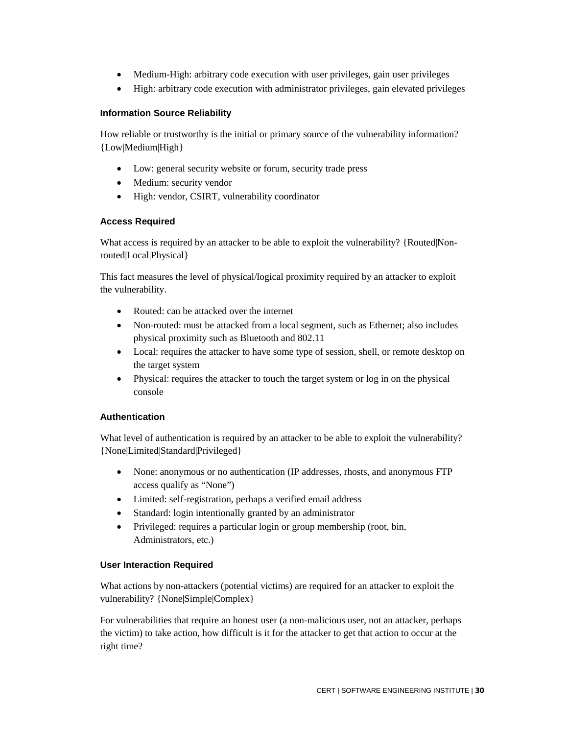- Medium-High: arbitrary code execution with user privileges, gain user privileges
- High: arbitrary code execution with administrator privileges, gain elevated privileges

## <span id="page-34-0"></span>**Information Source Reliability**

How reliable or trustworthy is the initial or primary source of the vulnerability information? {Low|Medium|High}

- Low: general security website or forum, security trade press
- Medium: security vendor
- High: vendor, CSIRT, vulnerability coordinator

## <span id="page-34-1"></span>**Access Required**

What access is required by an attacker to be able to exploit the vulnerability? {Routed|Nonrouted|Local|Physical}

This fact measures the level of physical/logical proximity required by an attacker to exploit the vulnerability.

- Routed: can be attacked over the internet
- Non-routed: must be attacked from a local segment, such as Ethernet; also includes physical proximity such as Bluetooth and 802.11
- Local: requires the attacker to have some type of session, shell, or remote desktop on the target system
- Physical: requires the attacker to touch the target system or log in on the physical console

## <span id="page-34-2"></span>**Authentication**

What level of authentication is required by an attacker to be able to exploit the vulnerability? {None|Limited|Standard|Privileged}

- None: anonymous or no authentication (IP addresses, rhosts, and anonymous FTP access qualify as "None")
- Limited: self-registration, perhaps a verified email address
- Standard: login intentionally granted by an administrator
- Privileged: requires a particular login or group membership (root, bin, Administrators, etc.)

## <span id="page-34-3"></span>**User Interaction Required**

What actions by non-attackers (potential victims) are required for an attacker to exploit the vulnerability? {None|Simple|Complex}

For vulnerabilities that require an honest user (a non-malicious user, not an attacker, perhaps the victim) to take action, how difficult is it for the attacker to get that action to occur at the right time?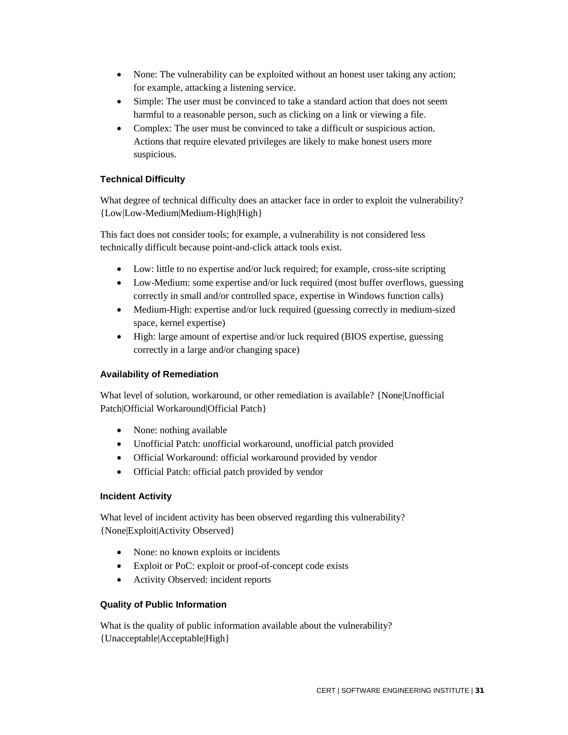- None: The vulnerability can be exploited without an honest user taking any action; for example, attacking a listening service.
- Simple: The user must be convinced to take a standard action that does not seem harmful to a reasonable person, such as clicking on a link or viewing a file.
- Complex: The user must be convinced to take a difficult or suspicious action. Actions that require elevated privileges are likely to make honest users more suspicious.

## <span id="page-35-0"></span>**Technical Difficulty**

What degree of technical difficulty does an attacker face in order to exploit the vulnerability? {Low|Low-Medium|Medium-High|High}

This fact does not consider tools; for example, a vulnerability is not considered less technically difficult because point-and-click attack tools exist.

- Low: little to no expertise and/or luck required; for example, cross-site scripting
- Low-Medium: some expertise and/or luck required (most buffer overflows, guessing correctly in small and/or controlled space, expertise in Windows function calls)
- Medium-High: expertise and/or luck required (guessing correctly in medium-sized space, kernel expertise)
- High: large amount of expertise and/or luck required (BIOS expertise, guessing correctly in a large and/or changing space)

## <span id="page-35-1"></span>**Availability of Remediation**

What level of solution, workaround, or other remediation is available? {None|Unofficial Patch|Official Workaround|Official Patch}

- None: nothing available
- Unofficial Patch: unofficial workaround, unofficial patch provided
- Official Workaround: official workaround provided by vendor
- Official Patch: official patch provided by vendor

## <span id="page-35-2"></span>**Incident Activity**

What level of incident activity has been observed regarding this vulnerability? {None|Exploit|Activity Observed}

- None: no known exploits or incidents
- Exploit or PoC: exploit or proof-of-concept code exists
- Activity Observed: incident reports

## <span id="page-35-3"></span>**Quality of Public Information**

What is the quality of public information available about the vulnerability? {Unacceptable|Acceptable|High}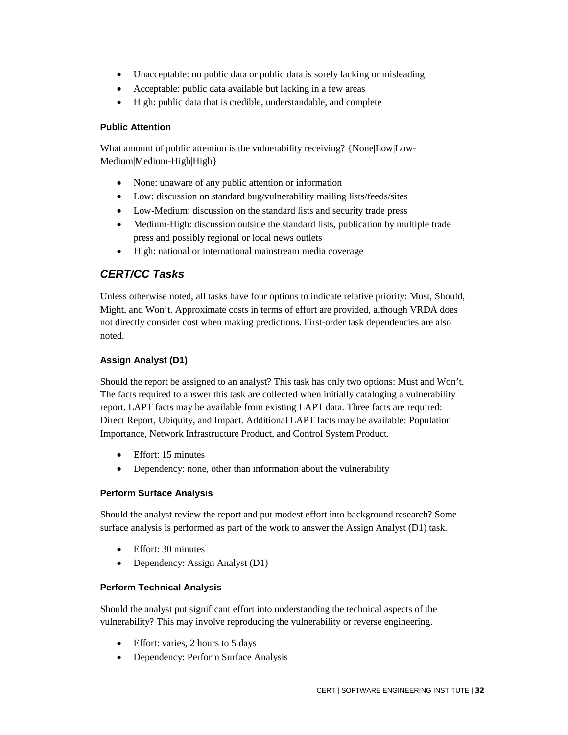- Unacceptable: no public data or public data is sorely lacking or misleading
- Acceptable: public data available but lacking in a few areas
- High: public data that is credible, understandable, and complete

### <span id="page-36-0"></span>**Public Attention**

What amount of public attention is the vulnerability receiving? {None|Low|Low-Medium|Medium-High|High}

- None: unaware of any public attention or information
- Low: discussion on standard bug/vulnerability mailing lists/feeds/sites
- Low-Medium: discussion on the standard lists and security trade press
- Medium-High: discussion outside the standard lists, publication by multiple trade press and possibly regional or local news outlets
- High: national or international mainstream media coverage

## <span id="page-36-1"></span>*CERT/CC Tasks*

Unless otherwise noted, all tasks have four options to indicate relative priority: Must, Should, Might, and Won't. Approximate costs in terms of effort are provided, although VRDA does not directly consider cost when making predictions. First-order task dependencies are also noted.

## <span id="page-36-2"></span>**Assign Analyst (D1)**

Should the report be assigned to an analyst? This task has only two options: Must and Won't. The facts required to answer this task are collected when initially cataloging a vulnerability report. LAPT facts may be available from existing LAPT data. Three facts are required: Direct Report, Ubiquity, and Impact. Additional LAPT facts may be available: Population Importance, Network Infrastructure Product, and Control System Product.

- Effort: 15 minutes
- Dependency: none, other than information about the vulnerability

## <span id="page-36-3"></span>**Perform Surface Analysis**

Should the analyst review the report and put modest effort into background research? Some surface analysis is performed as part of the work to answer the Assign Analyst (D1) task.

- Effort: 30 minutes
- Dependency: Assign Analyst (D1)

## <span id="page-36-4"></span>**Perform Technical Analysis**

Should the analyst put significant effort into understanding the technical aspects of the vulnerability? This may involve reproducing the vulnerability or reverse engineering.

- Effort: varies, 2 hours to 5 days
- Dependency: Perform Surface Analysis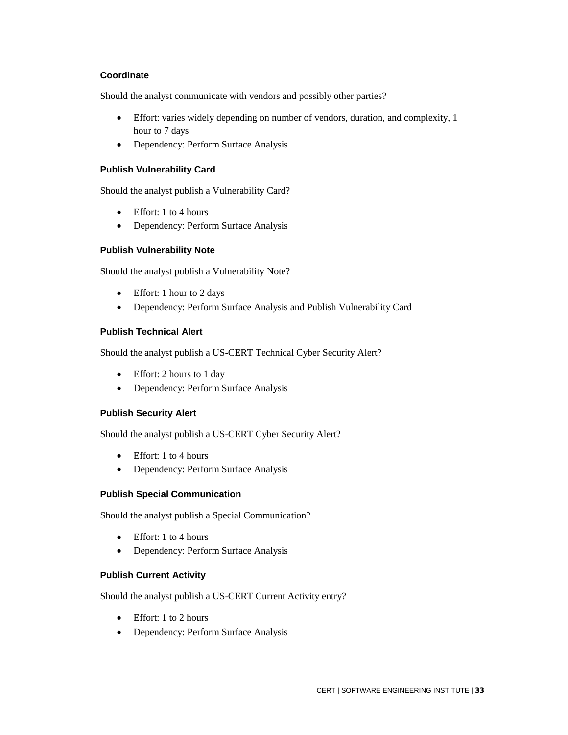#### <span id="page-37-0"></span>**Coordinate**

Should the analyst communicate with vendors and possibly other parties?

- Effort: varies widely depending on number of vendors, duration, and complexity, 1 hour to 7 days
- Dependency: Perform Surface Analysis

#### <span id="page-37-1"></span>**Publish Vulnerability Card**

Should the analyst publish a Vulnerability Card?

- Effort: 1 to 4 hours
- Dependency: Perform Surface Analysis

#### <span id="page-37-2"></span>**Publish Vulnerability Note**

Should the analyst publish a Vulnerability Note?

- Effort: 1 hour to 2 days
- Dependency: Perform Surface Analysis and Publish Vulnerability Card

### <span id="page-37-3"></span>**Publish Technical Alert**

Should the analyst publish a US-CERT Technical Cyber Security Alert?

- Effort: 2 hours to 1 day
- Dependency: Perform Surface Analysis

#### <span id="page-37-4"></span>**Publish Security Alert**

Should the analyst publish a US-CERT Cyber Security Alert?

- Effort: 1 to 4 hours
- Dependency: Perform Surface Analysis

#### <span id="page-37-5"></span>**Publish Special Communication**

Should the analyst publish a Special Communication?

- Effort: 1 to 4 hours
- Dependency: Perform Surface Analysis

#### <span id="page-37-6"></span>**Publish Current Activity**

Should the analyst publish a US-CERT Current Activity entry?

- Effort: 1 to 2 hours
- Dependency: Perform Surface Analysis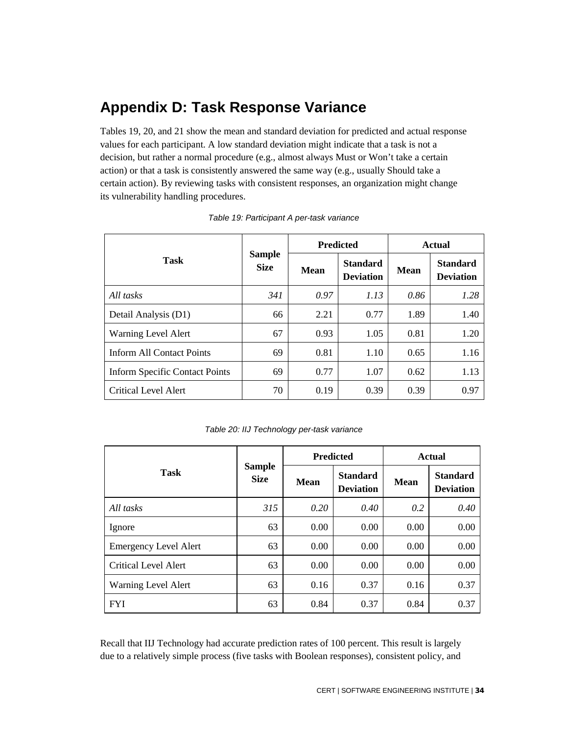## **Appendix D: Task Response Variance**

Tables 19, 20, and 21 show the mean and standard deviation for predicted and actual response values for each participant. A low standard deviation might indicate that a task is not a decision, but rather a normal procedure (e.g., almost always Must or Won't take a certain action) or that a task is consistently answered the same way (e.g., usually Should take a certain action). By reviewing tasks with consistent responses, an organization might change its vulnerability handling procedures.

|                                |                              |             | <b>Predicted</b>                    | Actual      |                                     |
|--------------------------------|------------------------------|-------------|-------------------------------------|-------------|-------------------------------------|
| <b>Task</b>                    | <b>Sample</b><br><b>Size</b> | <b>Mean</b> | <b>Standard</b><br><b>Deviation</b> | <b>Mean</b> | <b>Standard</b><br><b>Deviation</b> |
| All tasks                      | 341                          | 0.97        | 1.13                                | 0.86        | 1.28                                |
| Detail Analysis (D1)           | 66                           | 2.21        | 0.77                                | 1.89        | 1.40                                |
| Warning Level Alert            | 67                           | 0.93        | 1.05                                | 0.81        | 1.20                                |
| Inform All Contact Points      | 69                           | 0.81        | 1.10                                | 0.65        | 1.16                                |
| Inform Specific Contact Points | 69                           | 0.77        | 1.07                                | 0.62        | 1.13                                |
| Critical Level Alert           | 70                           | 0.19        | 0.39                                | 0.39        | 0.97                                |

*Table 19: Participant A per-task variance*

| Table 20: IIJ Technology per-task variance |  |
|--------------------------------------------|--|
|--------------------------------------------|--|

|                              |                              | <b>Predicted</b> |                                     | Actual      |                                     |
|------------------------------|------------------------------|------------------|-------------------------------------|-------------|-------------------------------------|
| Task                         | <b>Sample</b><br><b>Size</b> | Mean             | <b>Standard</b><br><b>Deviation</b> | <b>Mean</b> | <b>Standard</b><br><b>Deviation</b> |
| All tasks                    | 315                          | 0.20             | $0.40^{\circ}$                      | 0.2         | 0.40                                |
| Ignore                       | 63                           | 0.00             | 0.00                                | 0.00        | 0.00                                |
| <b>Emergency Level Alert</b> | 63                           | 0.00             | 0.00                                | 0.00        | 0.00                                |
| Critical Level Alert         | 63                           | 0.00             | 0.00                                | 0.00        | 0.00                                |
| <b>Warning Level Alert</b>   | 63                           | 0.16             | 0.37                                | 0.16        | 0.37                                |
| <b>FYI</b>                   | 63                           | 0.84             | 0.37                                | 0.84        | 0.37                                |

Recall that IIJ Technology had accurate prediction rates of 100 percent. This result is largely due to a relatively simple process (five tasks with Boolean responses), consistent policy, and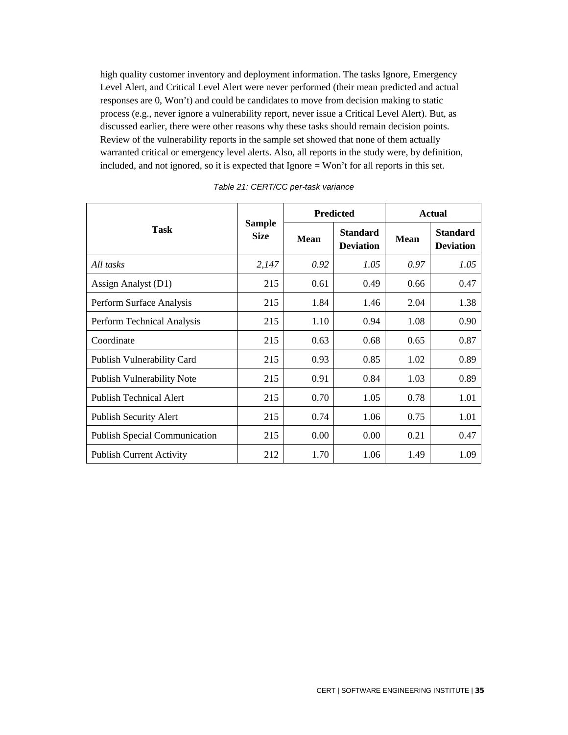high quality customer inventory and deployment information. The tasks Ignore, Emergency Level Alert, and Critical Level Alert were never performed (their mean predicted and actual responses are 0, Won't) and could be candidates to move from decision making to static process (e.g., never ignore a vulnerability report, never issue a Critical Level Alert). But, as discussed earlier, there were other reasons why these tasks should remain decision points. Review of the vulnerability reports in the sample set showed that none of them actually warranted critical or emergency level alerts. Also, all reports in the study were, by definition, included, and not ignored, so it is expected that Ignore = Won't for all reports in this set.

|                                      |                              |             | <b>Predicted</b>                    | <b>Actual</b> |                                     |  |
|--------------------------------------|------------------------------|-------------|-------------------------------------|---------------|-------------------------------------|--|
| <b>Task</b>                          | <b>Sample</b><br><b>Size</b> | <b>Mean</b> | <b>Standard</b><br><b>Deviation</b> | <b>Mean</b>   | <b>Standard</b><br><b>Deviation</b> |  |
| All tasks                            | 2,147                        | 0.92        | 1.05                                | 0.97          | 1.05                                |  |
| Assign Analyst (D1)                  | 215                          | 0.61        | 0.49                                | 0.66          | 0.47                                |  |
| Perform Surface Analysis             | 215                          | 1.84        | 1.46                                | 2.04          | 1.38                                |  |
| Perform Technical Analysis           | 215                          | 1.10        | 0.94                                | 1.08          | 0.90                                |  |
| Coordinate                           | 215                          | 0.63        | 0.68                                | 0.65          | 0.87                                |  |
| Publish Vulnerability Card           | 215                          | 0.93        | 0.85                                | 1.02          | 0.89                                |  |
| <b>Publish Vulnerability Note</b>    | 215                          | 0.91        | 0.84                                | 1.03          | 0.89                                |  |
| <b>Publish Technical Alert</b>       | 215                          | 0.70        | 1.05                                | 0.78          | 1.01                                |  |
| <b>Publish Security Alert</b>        | 215                          | 0.74        | 1.06                                | 0.75          | 1.01                                |  |
| <b>Publish Special Communication</b> | 215                          | 0.00        | 0.00                                | 0.21          | 0.47                                |  |
| <b>Publish Current Activity</b>      | 212                          | 1.70        | 1.06                                | 1.49          | 1.09                                |  |

*Table 21: CERT/CC per-task variance*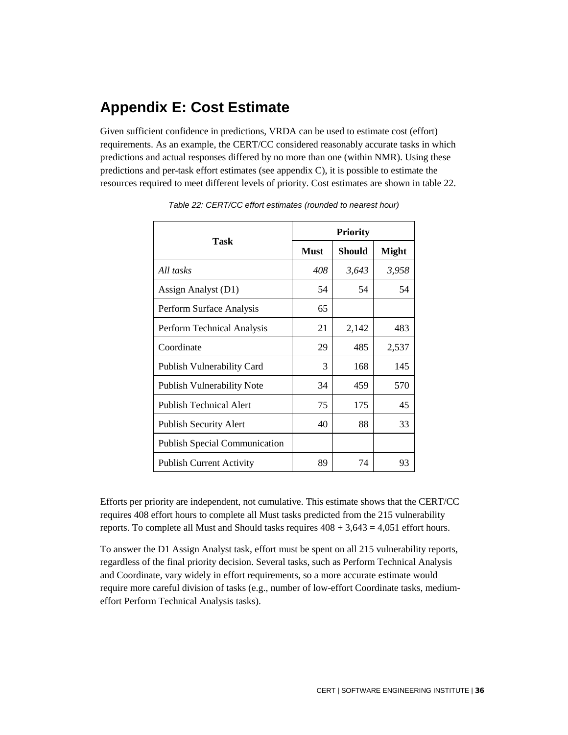## **Appendix E: Cost Estimate**

Given sufficient confidence in predictions, VRDA can be used to estimate cost (effort) requirements. As an example, the CERT/CC considered reasonably accurate tasks in which predictions and actual responses differed by no more than one (within NMR). Using these predictions and per-task effort estimates (see appendix C), it is possible to estimate the resources required to meet different levels of priority. Cost estimates are shown in table 22.

| Task                                 | <b>Must</b> | Should | <b>Might</b> |
|--------------------------------------|-------------|--------|--------------|
| All tasks                            | 408         | 3,643  | 3,958        |
| Assign Analyst (D1)                  | 54          | 54     | 54           |
| Perform Surface Analysis             | 65          |        |              |
| Perform Technical Analysis           | 21          | 2,142  | 483          |
| Coordinate                           | 29          | 485    | 2,537        |
| Publish Vulnerability Card           | 3           | 168    | 145          |
| <b>Publish Vulnerability Note</b>    | 34          | 459    | 570          |
| <b>Publish Technical Alert</b>       | 75          | 175    | 45           |
| <b>Publish Security Alert</b>        | 40          | 88     | 33           |
| <b>Publish Special Communication</b> |             |        |              |
| <b>Publish Current Activity</b>      | 89          | 74     | 93           |

*Table 22: CERT/CC effort estimates (rounded to nearest hour)*

Efforts per priority are independent, not cumulative. This estimate shows that the CERT/CC requires 408 effort hours to complete all Must tasks predicted from the 215 vulnerability reports. To complete all Must and Should tasks requires  $408 + 3{,}643 = 4{,}051$  effort hours.

To answer the D1 Assign Analyst task, effort must be spent on all 215 vulnerability reports, regardless of the final priority decision. Several tasks, such as Perform Technical Analysis and Coordinate, vary widely in effort requirements, so a more accurate estimate would require more careful division of tasks (e.g., number of low-effort Coordinate tasks, mediumeffort Perform Technical Analysis tasks).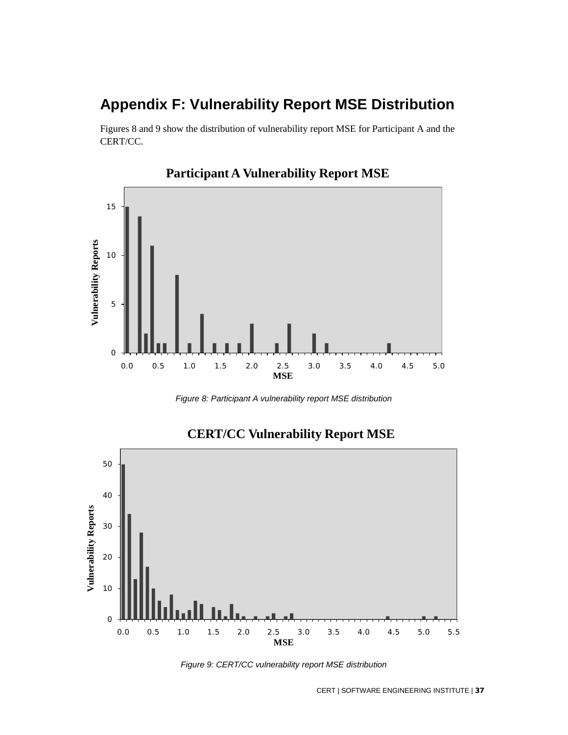## **Appendix F: Vulnerability Report MSE Distribution**

Figures 8 and 9 show the distribution of vulnerability report MSE for Participant A and the CERT/CC.



## **Participant A Vulnerability Report MSE**

*Figure 8: Participant A vulnerability report MSE distribution*



## **CERT/CC Vulnerability Report MSE**

*Figure 9: CERT/CC vulnerability report MSE distribution*